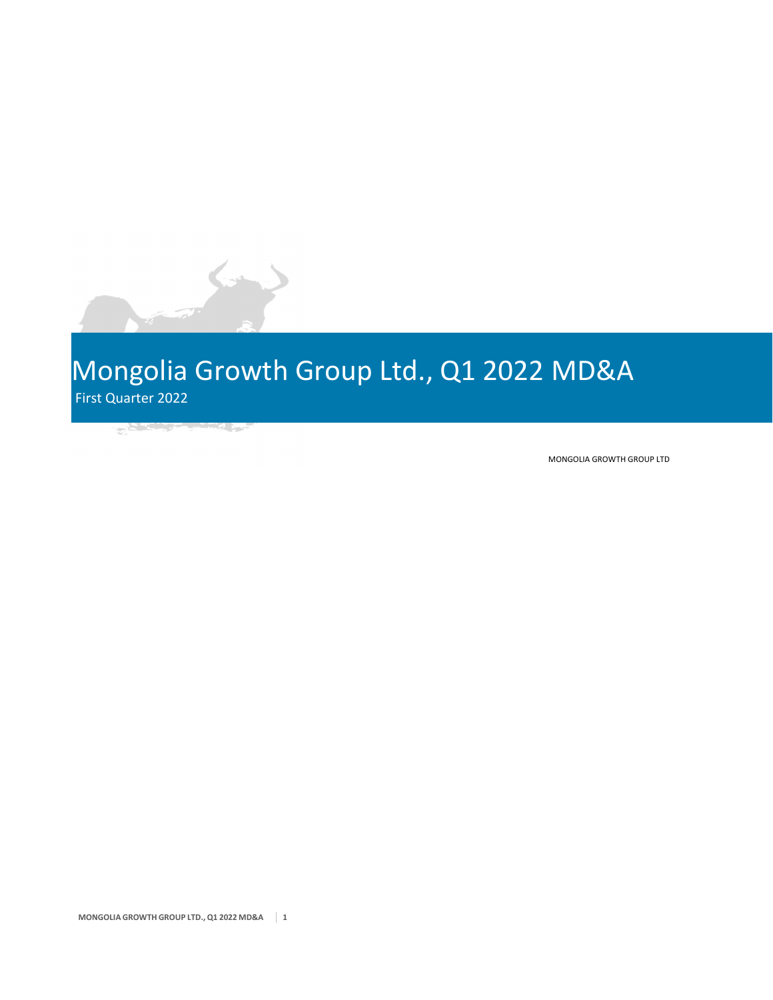# Mongolia Growth Group Ltd., Q1 2022 MD&A First Quarter 2022

the company of the company of the company of the company of the company of the company of the company of the company of the company of the company of the company of the company of the company of the company of the company

 $\rightarrow$ 

MONGOLIA GROWTH GROUP LTD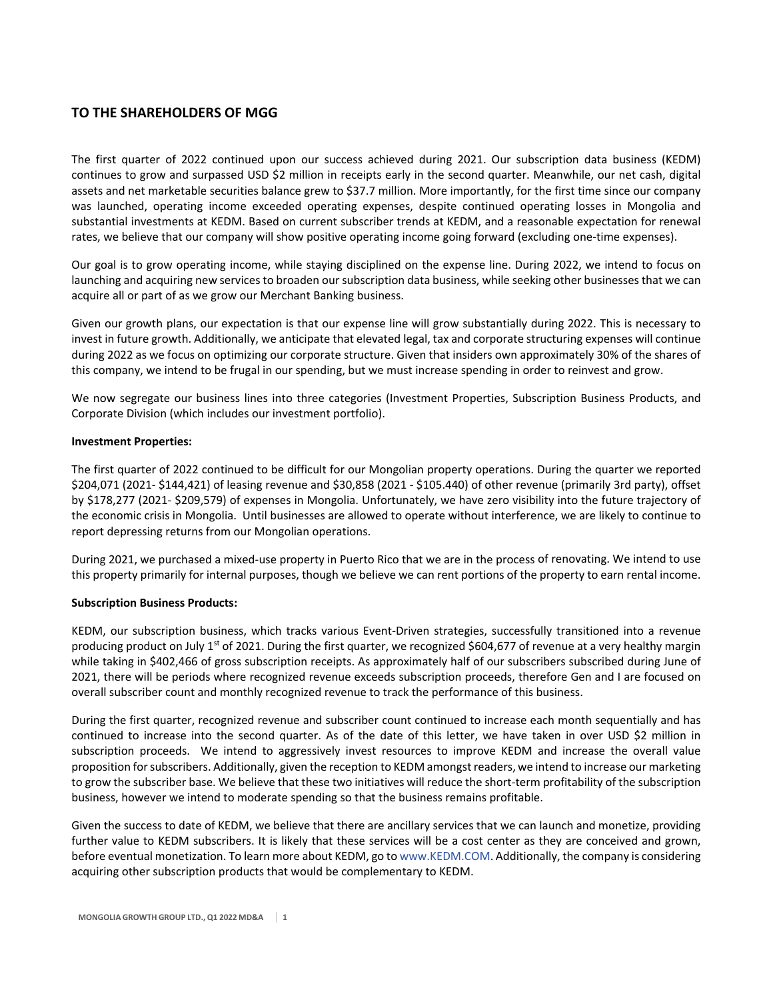# **TO THE SHAREHOLDERS OF MGG**

The first quarter of 2022 continued upon our success achieved during 2021. Our subscription data business (KEDM) continues to grow and surpassed USD \$2 million in receipts early in the second quarter. Meanwhile, our net cash, digital assets and net marketable securities balance grew to \$37.7 million. More importantly, for the first time since our company was launched, operating income exceeded operating expenses, despite continued operating losses in Mongolia and substantial investments at KEDM. Based on current subscriber trends at KEDM, and a reasonable expectation for renewal rates, we believe that our company will show positive operating income going forward (excluding one‐time expenses).

Our goal is to grow operating income, while staying disciplined on the expense line. During 2022, we intend to focus on launching and acquiring new services to broaden our subscription data business, while seeking other businesses that we can acquire all or part of as we grow our Merchant Banking business.

Given our growth plans, our expectation is that our expense line will grow substantially during 2022. This is necessary to invest in future growth. Additionally, we anticipate that elevated legal, tax and corporate structuring expenses will continue during 2022 as we focus on optimizing our corporate structure. Given that insiders own approximately 30% of the shares of this company, we intend to be frugal in our spending, but we must increase spending in order to reinvest and grow.

We now segregate our business lines into three categories (Investment Properties, Subscription Business Products, and Corporate Division (which includes our investment portfolio).

## **Investment Properties:**

The first quarter of 2022 continued to be difficult for our Mongolian property operations. During the quarter we reported \$204,071 (2021‐ \$144,421) of leasing revenue and \$30,858 (2021 ‐ \$105.440) of other revenue (primarily 3rd party), offset by \$178,277 (2021‐ \$209,579) of expenses in Mongolia. Unfortunately, we have zero visibility into the future trajectory of the economic crisis in Mongolia. Until businesses are allowed to operate without interference, we are likely to continue to report depressing returns from our Mongolian operations.

During 2021, we purchased a mixed-use property in Puerto Rico that we are in the process of renovating. We intend to use this property primarily for internal purposes, though we believe we can rent portions of the property to earn rental income.

## **Subscription Business Products:**

KEDM, our subscription business, which tracks various Event‐Driven strategies, successfully transitioned into a revenue producing product on July 1<sup>st</sup> of 2021. During the first quarter, we recognized \$604,677 of revenue at a very healthy margin while taking in \$402,466 of gross subscription receipts. As approximately half of our subscribers subscribed during June of 2021, there will be periods where recognized revenue exceeds subscription proceeds, therefore Gen and I are focused on overall subscriber count and monthly recognized revenue to track the performance of this business.

During the first quarter, recognized revenue and subscriber count continued to increase each month sequentially and has continued to increase into the second quarter. As of the date of this letter, we have taken in over USD \$2 million in subscription proceeds. We intend to aggressively invest resources to improve KEDM and increase the overall value proposition for subscribers. Additionally, given the reception to KEDM amongst readers, we intend to increase our marketing to grow the subscriber base. We believe that these two initiatives will reduce the short‐term profitability of the subscription business, however we intend to moderate spending so that the business remains profitable.

Given the success to date of KEDM, we believe that there are ancillary services that we can launch and monetize, providing further value to KEDM subscribers. It is likely that these services will be a cost center as they are conceived and grown, before eventual monetization. To learn more about KEDM, go to www.KEDM.COM. Additionally, the company is considering acquiring other subscription products that would be complementary to KEDM.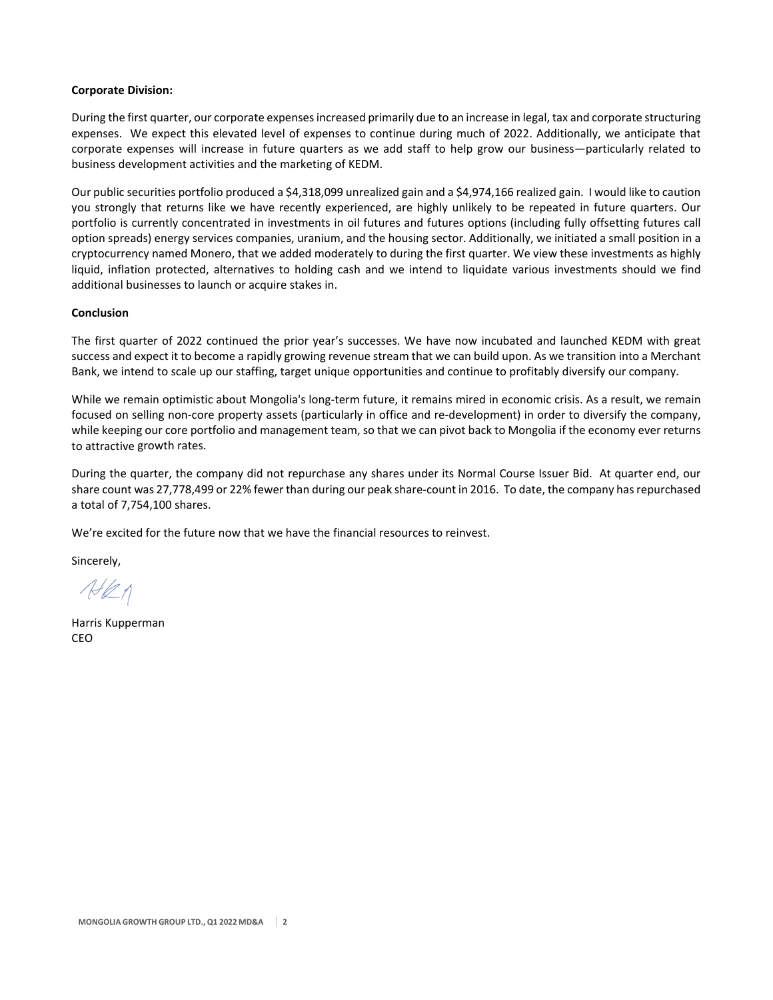#### **Corporate Division:**

During the first quarter, our corporate expensesincreased primarily due to an increase in legal, tax and corporate structuring expenses. We expect this elevated level of expenses to continue during much of 2022. Additionally, we anticipate that corporate expenses will increase in future quarters as we add staff to help grow our business—particularly related to business development activities and the marketing of KEDM.

Our public securities portfolio produced a \$4,318,099 unrealized gain and a \$4,974,166 realized gain. I would like to caution you strongly that returns like we have recently experienced, are highly unlikely to be repeated in future quarters. Our portfolio is currently concentrated in investments in oil futures and futures options (including fully offsetting futures call option spreads) energy services companies, uranium, and the housing sector. Additionally, we initiated a small position in a cryptocurrency named Monero, that we added moderately to during the first quarter. We view these investments as highly liquid, inflation protected, alternatives to holding cash and we intend to liquidate various investments should we find additional businesses to launch or acquire stakes in.

#### **Conclusion**

The first quarter of 2022 continued the prior year's successes. We have now incubated and launched KEDM with great success and expect it to become a rapidly growing revenue stream that we can build upon. As we transition into a Merchant Bank, we intend to scale up our staffing, target unique opportunities and continue to profitably diversify our company.

While we remain optimistic about Mongolia's long-term future, it remains mired in economic crisis. As a result, we remain focused on selling non‐core property assets (particularly in office and re‐development) in order to diversify the company, while keeping our core portfolio and management team, so that we can pivot back to Mongolia if the economy ever returns to attractive growth rates.

During the quarter, the company did not repurchase any shares under its Normal Course Issuer Bid. At quarter end, our share count was 27,778,499 or 22% fewer than during our peak share‐count in 2016. To date, the company hasrepurchased a total of 7,754,100 shares.

We're excited for the future now that we have the financial resources to reinvest.

Sincerely,

 $A\theta$ 

Harris Kupperman CEO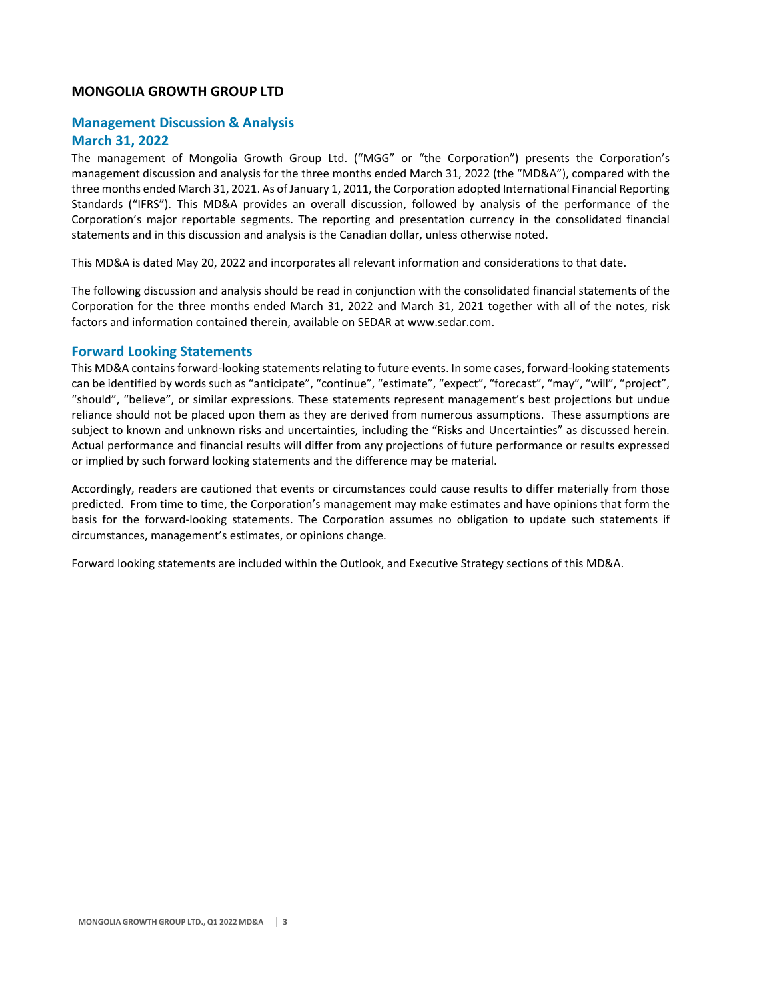# **MONGOLIA GROWTH GROUP LTD**

# **Management Discussion & Analysis**

# **March 31, 2022**

The management of Mongolia Growth Group Ltd. ("MGG" or "the Corporation") presents the Corporation's management discussion and analysis for the three months ended March 31, 2022 (the "MD&A"), compared with the three months ended March 31, 2021. As of January 1, 2011, the Corporation adopted International Financial Reporting Standards ("IFRS"). This MD&A provides an overall discussion, followed by analysis of the performance of the Corporation's major reportable segments. The reporting and presentation currency in the consolidated financial statements and in this discussion and analysis is the Canadian dollar, unless otherwise noted.

This MD&A is dated May 20, 2022 and incorporates all relevant information and considerations to that date.

The following discussion and analysis should be read in conjunction with the consolidated financial statements of the Corporation for the three months ended March 31, 2022 and March 31, 2021 together with all of the notes, risk factors and information contained therein, available on SEDAR at www.sedar.com.

# **Forward Looking Statements**

This MD&A contains forward-looking statements relating to future events. In some cases, forward-looking statements can be identified by words such as "anticipate", "continue", "estimate", "expect", "forecast", "may", "will", "project", "should", "believe", or similar expressions. These statements represent management's best projections but undue reliance should not be placed upon them as they are derived from numerous assumptions. These assumptions are subject to known and unknown risks and uncertainties, including the "Risks and Uncertainties" as discussed herein. Actual performance and financial results will differ from any projections of future performance or results expressed or implied by such forward looking statements and the difference may be material.

Accordingly, readers are cautioned that events or circumstances could cause results to differ materially from those predicted. From time to time, the Corporation's management may make estimates and have opinions that form the basis for the forward‐looking statements. The Corporation assumes no obligation to update such statements if circumstances, management's estimates, or opinions change.

Forward looking statements are included within the Outlook, and Executive Strategy sections of this MD&A.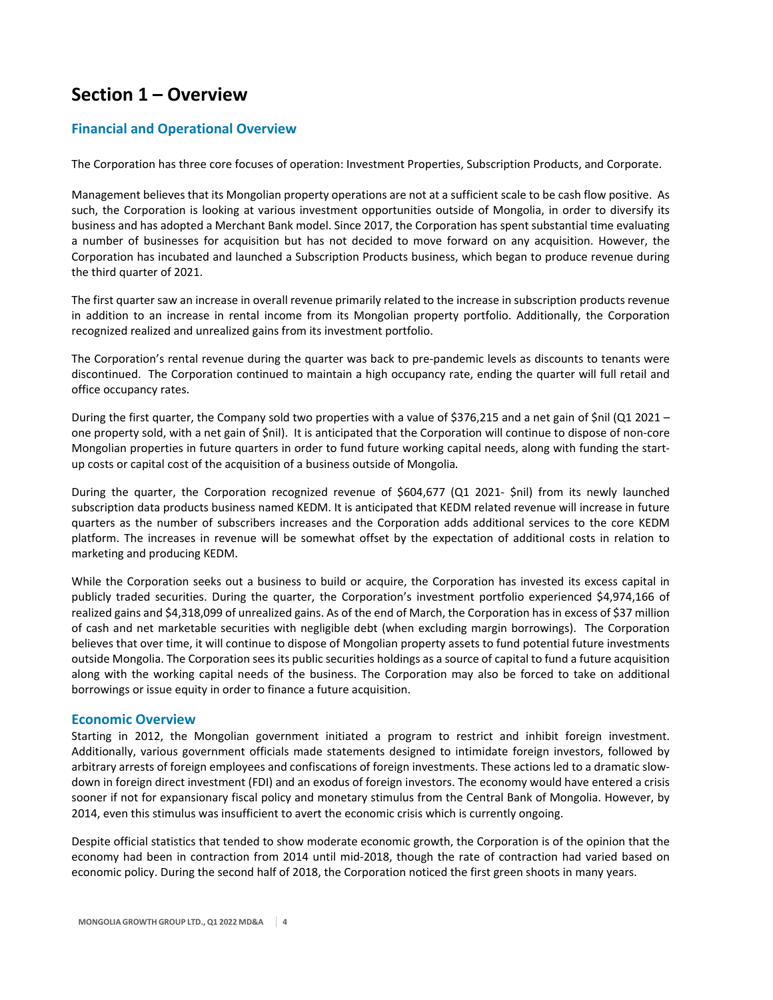# **Section 1 – Overview**

# **Financial and Operational Overview**

The Corporation has three core focuses of operation: Investment Properties, Subscription Products, and Corporate.

Management believes that its Mongolian property operations are not at a sufficient scale to be cash flow positive. As such, the Corporation is looking at various investment opportunities outside of Mongolia, in order to diversify its business and has adopted a Merchant Bank model. Since 2017, the Corporation has spent substantial time evaluating a number of businesses for acquisition but has not decided to move forward on any acquisition. However, the Corporation has incubated and launched a Subscription Products business, which began to produce revenue during the third quarter of 2021.

The first quarter saw an increase in overall revenue primarily related to the increase in subscription products revenue in addition to an increase in rental income from its Mongolian property portfolio. Additionally, the Corporation recognized realized and unrealized gains from its investment portfolio.

The Corporation's rental revenue during the quarter was back to pre‐pandemic levels as discounts to tenants were discontinued. The Corporation continued to maintain a high occupancy rate, ending the quarter will full retail and office occupancy rates.

During the first quarter, the Company sold two properties with a value of \$376,215 and a net gain of \$nil (Q1 2021 – one property sold, with a net gain of \$nil). It is anticipated that the Corporation will continue to dispose of non‐core Mongolian properties in future quarters in order to fund future working capital needs, along with funding the start‐ up costs or capital cost of the acquisition of a business outside of Mongolia.

During the quarter, the Corporation recognized revenue of \$604,677 (Q1 2021- \$nil) from its newly launched subscription data products business named KEDM. It is anticipated that KEDM related revenue will increase in future quarters as the number of subscribers increases and the Corporation adds additional services to the core KEDM platform. The increases in revenue will be somewhat offset by the expectation of additional costs in relation to marketing and producing KEDM.

While the Corporation seeks out a business to build or acquire, the Corporation has invested its excess capital in publicly traded securities. During the quarter, the Corporation's investment portfolio experienced \$4,974,166 of realized gains and \$4,318,099 of unrealized gains. As of the end of March, the Corporation has in excess of \$37 million of cash and net marketable securities with negligible debt (when excluding margin borrowings). The Corporation believes that over time, it will continue to dispose of Mongolian property assets to fund potential future investments outside Mongolia. The Corporation seesits public securities holdings as a source of capital to fund a future acquisition along with the working capital needs of the business. The Corporation may also be forced to take on additional borrowings or issue equity in order to finance a future acquisition.

## **Economic Overview**

Starting in 2012, the Mongolian government initiated a program to restrict and inhibit foreign investment. Additionally, various government officials made statements designed to intimidate foreign investors, followed by arbitrary arrests of foreign employees and confiscations of foreign investments. These actions led to a dramatic slow‐ down in foreign direct investment (FDI) and an exodus of foreign investors. The economy would have entered a crisis sooner if not for expansionary fiscal policy and monetary stimulus from the Central Bank of Mongolia. However, by 2014, even this stimulus was insufficient to avert the economic crisis which is currently ongoing.

Despite official statistics that tended to show moderate economic growth, the Corporation is of the opinion that the economy had been in contraction from 2014 until mid-2018, though the rate of contraction had varied based on economic policy. During the second half of 2018, the Corporation noticed the first green shoots in many years.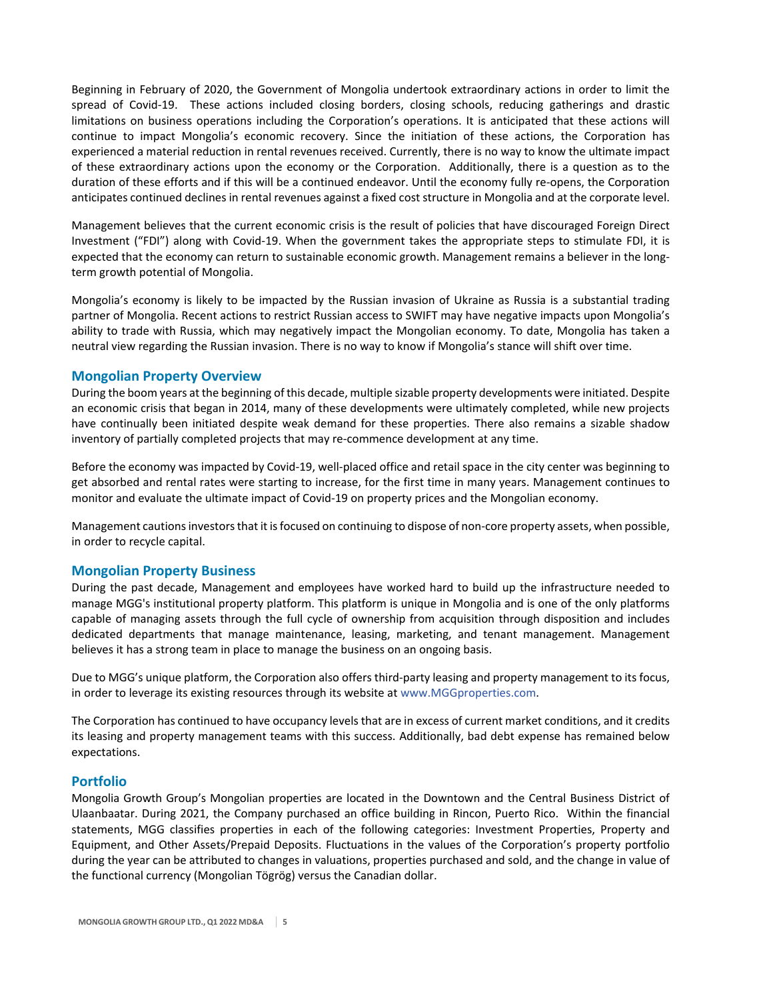Beginning in February of 2020, the Government of Mongolia undertook extraordinary actions in order to limit the spread of Covid-19. These actions included closing borders, closing schools, reducing gatherings and drastic limitations on business operations including the Corporation's operations. It is anticipated that these actions will continue to impact Mongolia's economic recovery. Since the initiation of these actions, the Corporation has experienced a material reduction in rental revenues received. Currently, there is no way to know the ultimate impact of these extraordinary actions upon the economy or the Corporation. Additionally, there is a question as to the duration of these efforts and if this will be a continued endeavor. Until the economy fully re‐opens, the Corporation anticipates continued declines in rental revenues against a fixed cost structure in Mongolia and at the corporate level.

Management believes that the current economic crisis is the result of policies that have discouraged Foreign Direct Investment ("FDI") along with Covid‐19. When the government takes the appropriate steps to stimulate FDI, it is expected that the economy can return to sustainable economic growth. Management remains a believer in the longterm growth potential of Mongolia.

Mongolia's economy is likely to be impacted by the Russian invasion of Ukraine as Russia is a substantial trading partner of Mongolia. Recent actions to restrict Russian access to SWIFT may have negative impacts upon Mongolia's ability to trade with Russia, which may negatively impact the Mongolian economy. To date, Mongolia has taken a neutral view regarding the Russian invasion. There is no way to know if Mongolia's stance will shift over time.

## **Mongolian Property Overview**

During the boom years at the beginning of this decade, multiple sizable property developments were initiated. Despite an economic crisis that began in 2014, many of these developments were ultimately completed, while new projects have continually been initiated despite weak demand for these properties. There also remains a sizable shadow inventory of partially completed projects that may re‐commence development at any time.

Before the economy was impacted by Covid‐19, well‐placed office and retail space in the city center was beginning to get absorbed and rental rates were starting to increase, for the first time in many years. Management continues to monitor and evaluate the ultimate impact of Covid‐19 on property prices and the Mongolian economy.

Management cautions investors that it is focused on continuing to dispose of non-core property assets, when possible, in order to recycle capital.

## **Mongolian Property Business**

During the past decade, Management and employees have worked hard to build up the infrastructure needed to manage MGG's institutional property platform. This platform is unique in Mongolia and is one of the only platforms capable of managing assets through the full cycle of ownership from acquisition through disposition and includes dedicated departments that manage maintenance, leasing, marketing, and tenant management. Management believes it has a strong team in place to manage the business on an ongoing basis.

Due to MGG's unique platform, the Corporation also offers third-party leasing and property management to its focus, in order to leverage its existing resources through its website at www.MGGproperties.com.

The Corporation has continued to have occupancy levels that are in excess of current market conditions, and it credits its leasing and property management teams with this success. Additionally, bad debt expense has remained below expectations.

## **Portfolio**

Mongolia Growth Group's Mongolian properties are located in the Downtown and the Central Business District of Ulaanbaatar. During 2021, the Company purchased an office building in Rincon, Puerto Rico. Within the financial statements, MGG classifies properties in each of the following categories: Investment Properties, Property and Equipment, and Other Assets/Prepaid Deposits. Fluctuations in the values of the Corporation's property portfolio during the year can be attributed to changes in valuations, properties purchased and sold, and the change in value of the functional currency (Mongolian Tögrög) versus the Canadian dollar.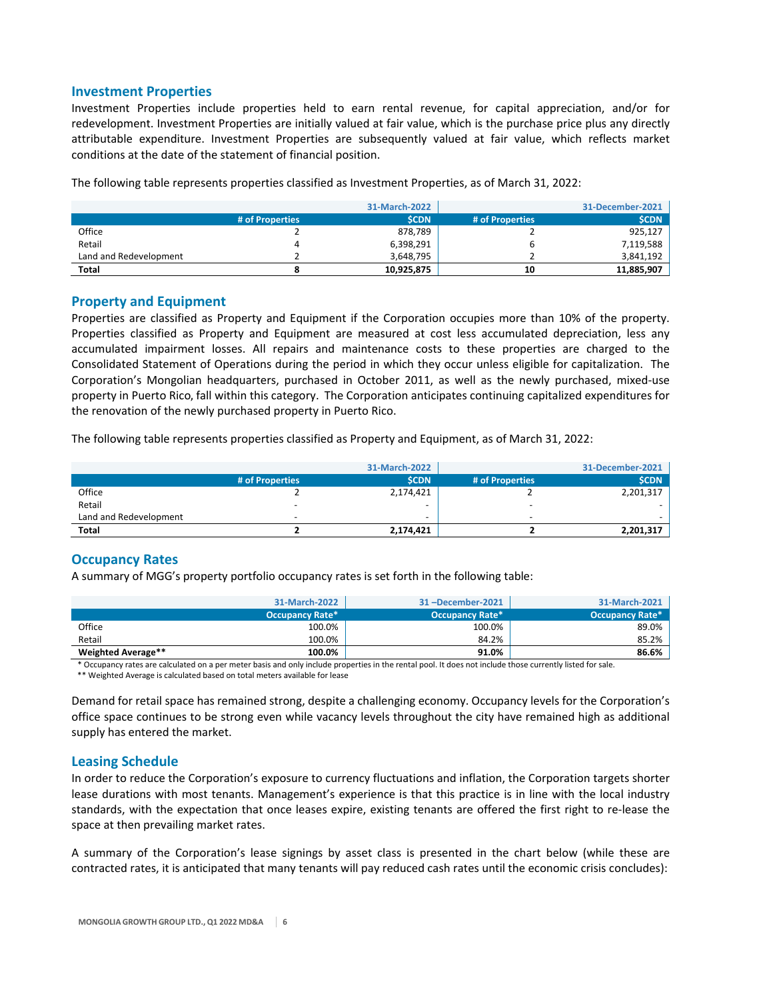## **Investment Properties**

Investment Properties include properties held to earn rental revenue, for capital appreciation, and/or for redevelopment. Investment Properties are initially valued at fair value, which is the purchase price plus any directly attributable expenditure. Investment Properties are subsequently valued at fair value, which reflects market conditions at the date of the statement of financial position.

|                        |                 | 31-March-2022 |                 | 31-December-2021 |
|------------------------|-----------------|---------------|-----------------|------------------|
|                        | # of Properties | <b>SCDN</b>   | # of Properties | <b>SCDN</b>      |
| Office                 |                 | 878.789       |                 | 925,127          |
| Retail                 |                 | 6,398,291     |                 | 7,119,588        |
| Land and Redevelopment |                 | 3,648,795     |                 | 3,841,192        |
| <b>Total</b>           |                 | 10,925,875    | 10              | 11,885,907       |

The following table represents properties classified as Investment Properties, as of March 31, 2022:

## **Property and Equipment**

Properties are classified as Property and Equipment if the Corporation occupies more than 10% of the property. Properties classified as Property and Equipment are measured at cost less accumulated depreciation, less any accumulated impairment losses. All repairs and maintenance costs to these properties are charged to the Consolidated Statement of Operations during the period in which they occur unless eligible for capitalization. The Corporation's Mongolian headquarters, purchased in October 2011, as well as the newly purchased, mixed‐use property in Puerto Rico, fall within this category. The Corporation anticipates continuing capitalized expenditures for the renovation of the newly purchased property in Puerto Rico.

The following table represents properties classified as Property and Equipment, as of March 31, 2022:

|                        |                 | 31-March-2022 |                 | 31-December-2021 |
|------------------------|-----------------|---------------|-----------------|------------------|
|                        | # of Properties | <b>SCDN</b>   | # of Properties | <b>SCDN</b>      |
| Office                 |                 | 2,174,421     |                 | 2,201,317        |
| Retail                 |                 | ۰             |                 |                  |
| Land and Redevelopment | -               | -             | -               |                  |
| <b>Total</b>           |                 | 2,174,421     |                 | 2,201,317        |

## **Occupancy Rates**

A summary of MGG's property portfolio occupancy rates is set forth in the following table:

|                    | 31-March-2022          | 31-December-2021 | 31-March-2021          |
|--------------------|------------------------|------------------|------------------------|
|                    | <b>Occupancy Rate*</b> | Occupancy Rate*  | <b>Occupancy Rate*</b> |
| Office             | 100.0%                 | 100.0%           | 89.0%                  |
| Retail             | 100.0%                 | 84.2%            | 85.2%                  |
| Weighted Average** | 100.0%                 | 91.0%            | 86.6%                  |

\* Occupancy rates are calculated on a per meter basis and only include properties in the rental pool. It does not include those currently listed for sale.

\*\* Weighted Average is calculated based on total meters available for lease

Demand for retail space has remained strong, despite a challenging economy. Occupancy levels for the Corporation's office space continues to be strong even while vacancy levels throughout the city have remained high as additional supply has entered the market.

## **Leasing Schedule**

In order to reduce the Corporation's exposure to currency fluctuations and inflation, the Corporation targets shorter lease durations with most tenants. Management's experience is that this practice is in line with the local industry standards, with the expectation that once leases expire, existing tenants are offered the first right to re‐lease the space at then prevailing market rates.

A summary of the Corporation's lease signings by asset class is presented in the chart below (while these are contracted rates, it is anticipated that many tenants will pay reduced cash rates until the economic crisis concludes):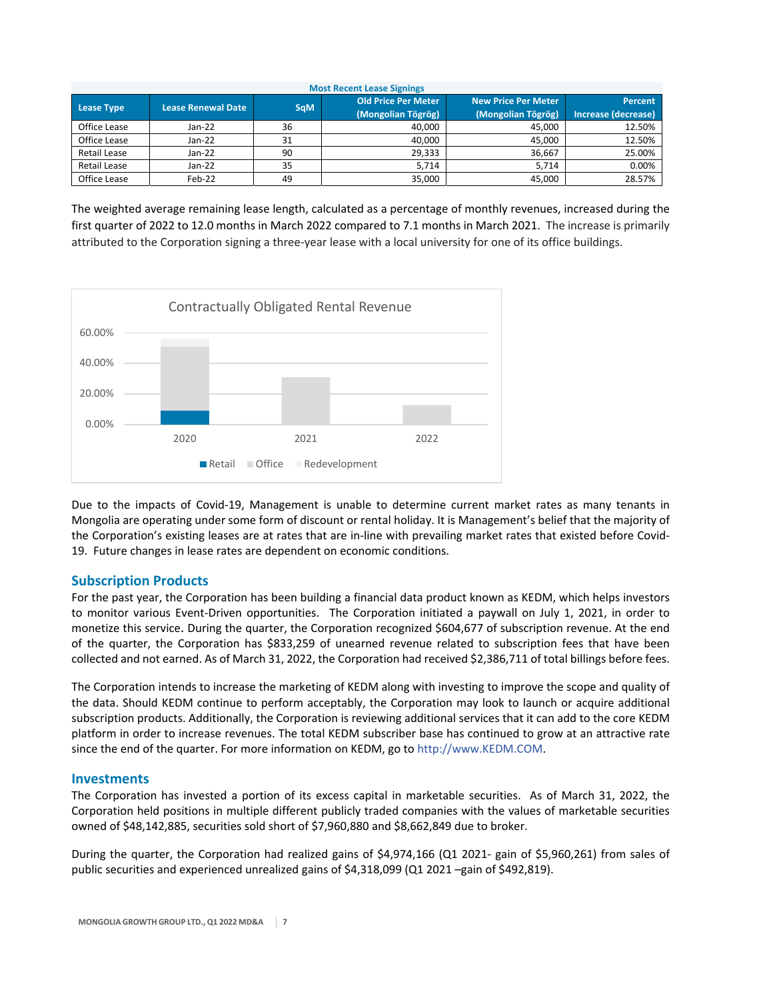| <b>Most Recent Lease Signings</b> |                           |            |                                                  |                                                  |                                |
|-----------------------------------|---------------------------|------------|--------------------------------------------------|--------------------------------------------------|--------------------------------|
| <b>Lease Type</b>                 | <b>Lease Renewal Date</b> | <b>SqM</b> | <b>Old Price Per Meter</b><br>(Mongolian Tögrög) | <b>New Price Per Meter</b><br>(Mongolian Tögrög) | Percent<br>Increase (decrease) |
| Office Lease                      | $Jan-22$                  | 36         | 40,000                                           | 45,000                                           | 12.50%                         |
| Office Lease                      | $Jan-22$                  | 31         | 40.000                                           | 45.000                                           | 12.50%                         |
| <b>Retail Lease</b>               | $Jan-22$                  | 90         | 29.333                                           | 36.667                                           | 25.00%                         |
| <b>Retail Lease</b>               | $Jan-22$                  | 35         | 5.714                                            | 5.714                                            | 0.00%                          |
| Office Lease                      | Feb-22                    | 49         | 35,000                                           | 45,000                                           | 28.57%                         |

The weighted average remaining lease length, calculated as a percentage of monthly revenues, increased during the first quarter of 2022 to 12.0 months in March 2022 compared to 7.1 months in March 2021. The increase is primarily attributed to the Corporation signing a three‐year lease with a local university for one of its office buildings.



Due to the impacts of Covid‐19, Management is unable to determine current market rates as many tenants in Mongolia are operating under some form of discount or rental holiday. It is Management's belief that the majority of the Corporation's existing leases are at rates that are in-line with prevailing market rates that existed before Covid-19. Future changes in lease rates are dependent on economic conditions.

## **Subscription Products**

For the past year, the Corporation has been building a financial data product known as KEDM, which helps investors to monitor various Event‐Driven opportunities. The Corporation initiated a paywall on July 1, 2021, in order to monetize this service. During the quarter, the Corporation recognized \$604,677 of subscription revenue. At the end of the quarter, the Corporation has \$833,259 of unearned revenue related to subscription fees that have been collected and not earned. As of March 31, 2022, the Corporation had received \$2,386,711 of total billings before fees.

The Corporation intends to increase the marketing of KEDM along with investing to improve the scope and quality of the data. Should KEDM continue to perform acceptably, the Corporation may look to launch or acquire additional subscription products. Additionally, the Corporation is reviewing additional services that it can add to the core KEDM platform in order to increase revenues. The total KEDM subscriber base has continued to grow at an attractive rate since the end of the quarter. For more information on KEDM, go to http://www.KEDM.COM.

## **Investments**

The Corporation has invested a portion of its excess capital in marketable securities. As of March 31, 2022, the Corporation held positions in multiple different publicly traded companies with the values of marketable securities owned of \$48,142,885, securities sold short of \$7,960,880 and \$8,662,849 due to broker.

During the quarter, the Corporation had realized gains of \$4,974,166 (Q1 2021- gain of \$5,960,261) from sales of public securities and experienced unrealized gains of \$4,318,099 (Q1 2021 –gain of \$492,819).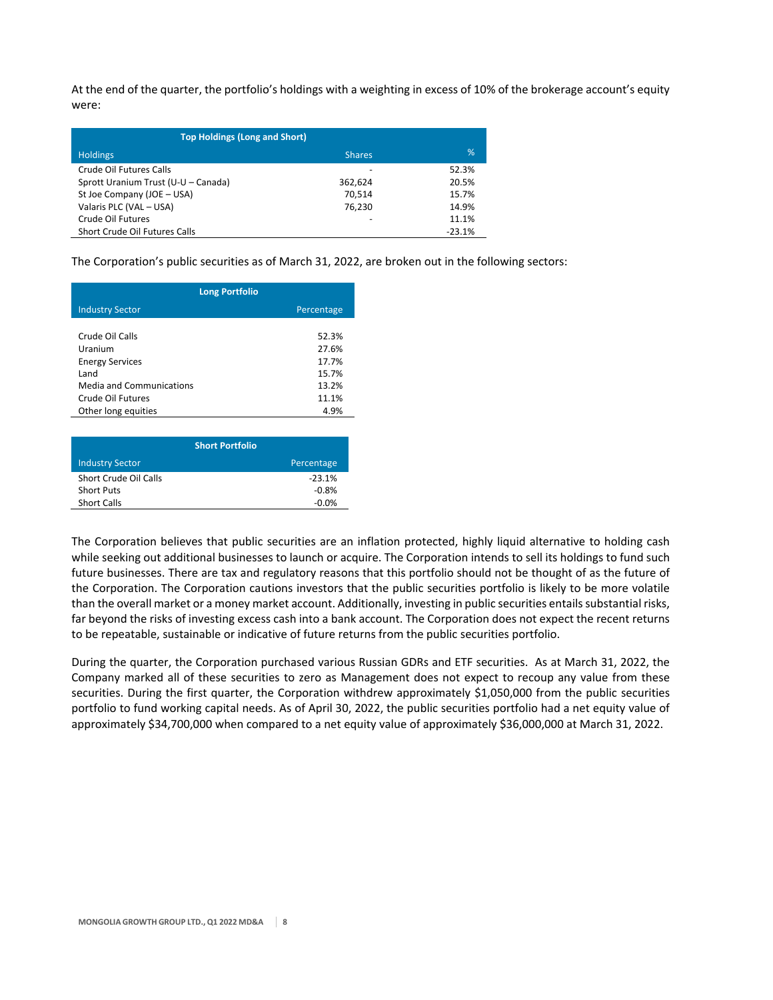At the end of the quarter, the portfolio's holdings with a weighting in excess of 10% of the brokerage account's equity were:

| <b>Top Holdings (Long and Short)</b> |               |          |
|--------------------------------------|---------------|----------|
| <b>Holdings</b>                      | <b>Shares</b> | %        |
| Crude Oil Futures Calls              | -             | 52.3%    |
| Sprott Uranium Trust (U-U - Canada)  | 362.624       | 20.5%    |
| St Joe Company (JOE - USA)           | 70.514        | 15.7%    |
| Valaris PLC (VAL - USA)              | 76.230        | 14.9%    |
| Crude Oil Futures                    | -             | 11.1%    |
| Short Crude Oil Futures Calls        |               | $-23.1%$ |

The Corporation's public securities as of March 31, 2022, are broken out in the following sectors:

| <b>Long Portfolio</b>           |            |
|---------------------------------|------------|
| <b>Industry Sector</b>          | Percentage |
|                                 |            |
| Crude Oil Calls                 | 52.3%      |
| Uranium                         | 27.6%      |
| <b>Energy Services</b>          | 17.7%      |
| Land                            | 15.7%      |
| <b>Media and Communications</b> | 13.2%      |
| Crude Oil Futures               | 11.1%      |
| Other long equities             | 4.9%       |
|                                 |            |

| Percentage |
|------------|
| $-23.1%$   |
| $-0.8%$    |
| $-0.0%$    |
|            |

The Corporation believes that public securities are an inflation protected, highly liquid alternative to holding cash while seeking out additional businesses to launch or acquire. The Corporation intends to sell its holdings to fund such future businesses. There are tax and regulatory reasons that this portfolio should not be thought of as the future of the Corporation. The Corporation cautions investors that the public securities portfolio is likely to be more volatile than the overall market or a money market account. Additionally, investing in public securities entails substantial risks, far beyond the risks of investing excess cash into a bank account. The Corporation does not expect the recent returns to be repeatable, sustainable or indicative of future returns from the public securities portfolio.

During the quarter, the Corporation purchased various Russian GDRs and ETF securities. As at March 31, 2022, the Company marked all of these securities to zero as Management does not expect to recoup any value from these securities. During the first quarter, the Corporation withdrew approximately \$1,050,000 from the public securities portfolio to fund working capital needs. As of April 30, 2022, the public securities portfolio had a net equity value of approximately \$34,700,000 when compared to a net equity value of approximately \$36,000,000 at March 31, 2022.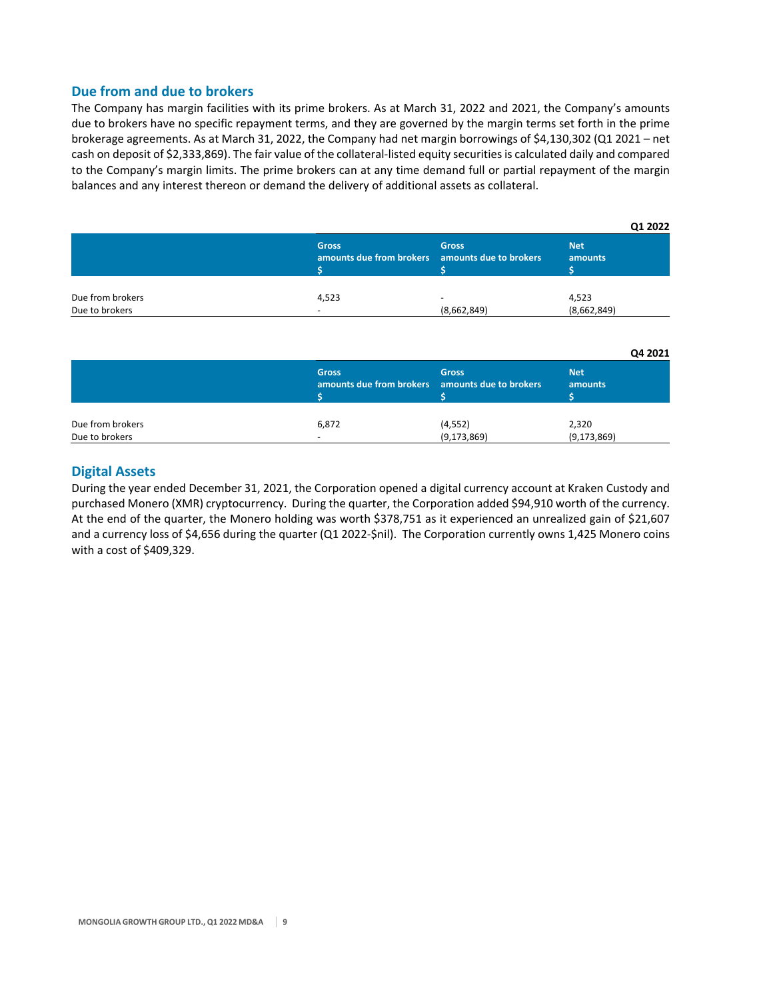# **Due from and due to brokers**

The Company has margin facilities with its prime brokers. As at March 31, 2022 and 2021, the Company's amounts due to brokers have no specific repayment terms, and they are governed by the margin terms set forth in the prime brokerage agreements. As at March 31, 2022, the Company had net margin borrowings of \$4,130,302 (Q1 2021 – net cash on deposit of \$2,333,869). The fair value of the collateral‐listed equity securitiesis calculated daily and compared to the Company's margin limits. The prime brokers can at any time demand full or partial repayment of the margin balances and any interest thereon or demand the delivery of additional assets as collateral.

|                  |                                                                 |                          | Q1 2022               |
|------------------|-----------------------------------------------------------------|--------------------------|-----------------------|
|                  | <b>Gross</b><br>amounts due from brokers amounts due to brokers | <b>Gross</b>             | <b>Net</b><br>amounts |
| Due from brokers | 4,523                                                           | $\overline{\phantom{0}}$ | 4,523                 |
| Due to brokers   |                                                                 | (8,662,849)              | (8,662,849)           |

|                  |                                                                 |               | Q4 2021               |
|------------------|-----------------------------------------------------------------|---------------|-----------------------|
|                  | <b>Gross</b><br>amounts due from brokers amounts due to brokers | <b>Gross</b>  | <b>Net</b><br>amounts |
| Due from brokers | 6,872                                                           | (4, 552)      | 2,320                 |
| Due to brokers   | -                                                               | (9, 173, 869) | (9, 173, 869)         |

# **Digital Assets**

During the year ended December 31, 2021, the Corporation opened a digital currency account at Kraken Custody and purchased Monero (XMR) cryptocurrency. During the quarter, the Corporation added \$94,910 worth of the currency. At the end of the quarter, the Monero holding was worth \$378,751 as it experienced an unrealized gain of \$21,607 and a currency loss of \$4,656 during the quarter (Q1 2022‐\$nil). The Corporation currently owns 1,425 Monero coins with a cost of \$409,329.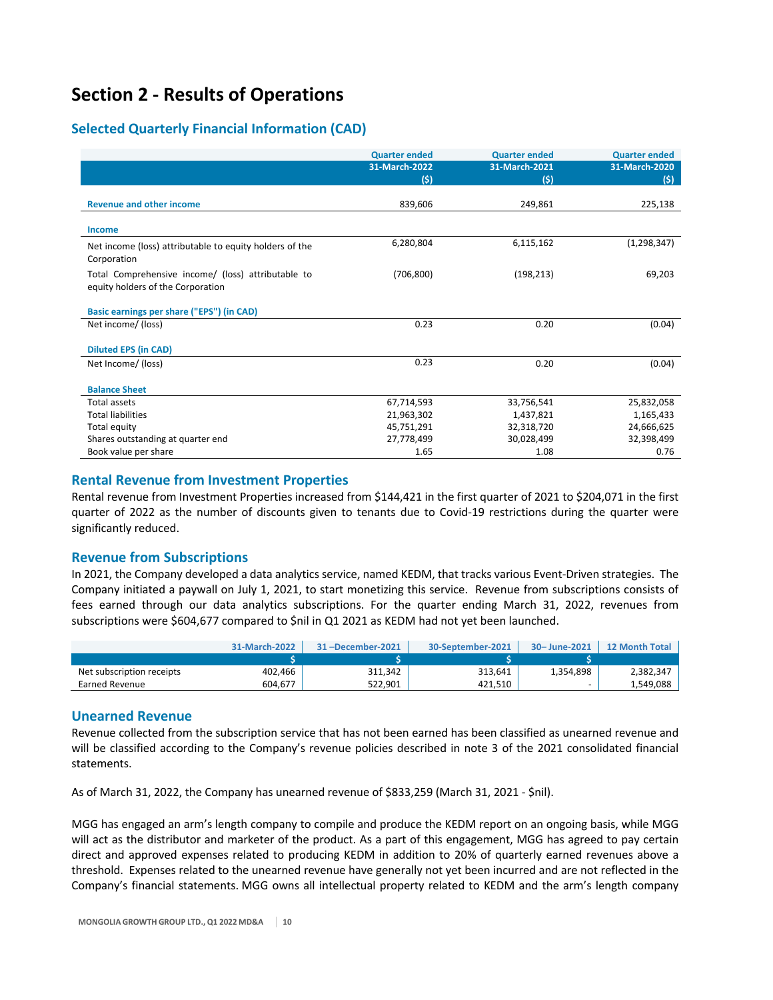# **Section 2 ‐ Results of Operations**

# **Selected Quarterly Financial Information (CAD)**

|                                                                        | <b>Quarter ended</b> | <b>Quarter ended</b> | <b>Quarter ended</b> |
|------------------------------------------------------------------------|----------------------|----------------------|----------------------|
|                                                                        | 31-March-2022        | 31-March-2021        | 31-March-2020        |
|                                                                        | (5)                  | (5)                  | (5)                  |
|                                                                        |                      |                      |                      |
| <b>Revenue and other income</b>                                        | 839,606              | 249,861              | 225,138              |
| <b>Income</b>                                                          |                      |                      |                      |
|                                                                        | 6,280,804            | 6,115,162            | (1, 298, 347)        |
| Net income (loss) attributable to equity holders of the<br>Corporation |                      |                      |                      |
| Total Comprehensive income/ (loss) attributable to                     | (706, 800)           | (198, 213)           | 69,203               |
| equity holders of the Corporation                                      |                      |                      |                      |
| Basic earnings per share ("EPS") (in CAD)                              |                      |                      |                      |
| Net income/ (loss)                                                     | 0.23                 | 0.20                 | (0.04)               |
|                                                                        |                      |                      |                      |
| <b>Diluted EPS (in CAD)</b>                                            |                      |                      |                      |
| Net Income/ (loss)                                                     | 0.23                 | 0.20                 | (0.04)               |
|                                                                        |                      |                      |                      |
| <b>Balance Sheet</b>                                                   |                      |                      |                      |
| Total assets                                                           | 67,714,593           | 33,756,541           | 25,832,058           |
| <b>Total liabilities</b>                                               | 21,963,302           | 1,437,821            | 1,165,433            |
| Total equity                                                           | 45,751,291           | 32,318,720           | 24,666,625           |
| Shares outstanding at quarter end                                      | 27,778,499           | 30,028,499           | 32,398,499           |
| Book value per share                                                   | 1.65                 | 1.08                 | 0.76                 |

# **Rental Revenue from Investment Properties**

Rental revenue from Investment Properties increased from \$144,421 in the first quarter of 2021 to \$204,071 in the first quarter of 2022 as the number of discounts given to tenants due to Covid‐19 restrictions during the quarter were significantly reduced.

# **Revenue from Subscriptions**

In 2021, the Company developed a data analytics service, named KEDM, that tracks various Event‐Driven strategies. The Company initiated a paywall on July 1, 2021, to start monetizing this service. Revenue from subscriptions consists of fees earned through our data analytics subscriptions. For the quarter ending March 31, 2022, revenues from subscriptions were \$604,677 compared to \$nil in Q1 2021 as KEDM had not yet been launched.

|                           | 31-March-2022 | 31-December-2021 | 30-September-2021 | 30-June-2021 | 12 Month Total |
|---------------------------|---------------|------------------|-------------------|--------------|----------------|
|                           |               |                  |                   |              |                |
| Net subscription receipts | 402,466       | 311.342          | 313.641           | 1.354.898    | 2,382,347      |
| Earned Revenue            | 604.677       | 522.901          | 421.510           |              | 1,549,088      |

## **Unearned Revenue**

Revenue collected from the subscription service that has not been earned has been classified as unearned revenue and will be classified according to the Company's revenue policies described in note 3 of the 2021 consolidated financial statements.

As of March 31, 2022, the Company has unearned revenue of \$833,259 (March 31, 2021 ‐ \$nil).

MGG has engaged an arm's length company to compile and produce the KEDM report on an ongoing basis, while MGG will act as the distributor and marketer of the product. As a part of this engagement, MGG has agreed to pay certain direct and approved expenses related to producing KEDM in addition to 20% of quarterly earned revenues above a threshold. Expenses related to the unearned revenue have generally not yet been incurred and are not reflected in the Company's financial statements. MGG owns all intellectual property related to KEDM and the arm's length company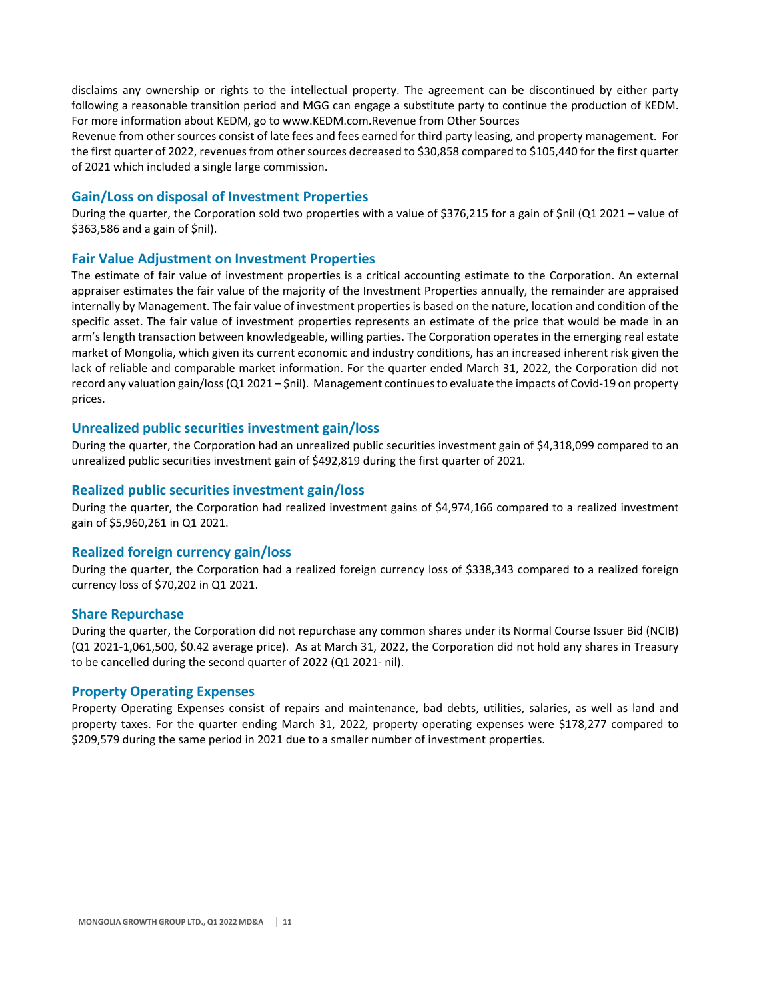disclaims any ownership or rights to the intellectual property. The agreement can be discontinued by either party following a reasonable transition period and MGG can engage a substitute party to continue the production of KEDM. For more information about KEDM, go to www.KEDM.com.Revenue from Other Sources

Revenue from other sources consist of late fees and fees earned for third party leasing, and property management. For the first quarter of 2022, revenues from other sources decreased to \$30,858 compared to \$105,440 for the first quarter of 2021 which included a single large commission.

## **Gain/Loss on disposal of Investment Properties**

During the quarter, the Corporation sold two properties with a value of \$376,215 for a gain of \$nil (Q1 2021 – value of \$363,586 and a gain of \$nil).

## **Fair Value Adjustment on Investment Properties**

The estimate of fair value of investment properties is a critical accounting estimate to the Corporation. An external appraiser estimates the fair value of the majority of the Investment Properties annually, the remainder are appraised internally by Management. The fair value of investment properties is based on the nature, location and condition of the specific asset. The fair value of investment properties represents an estimate of the price that would be made in an arm's length transaction between knowledgeable, willing parties. The Corporation operates in the emerging real estate market of Mongolia, which given its current economic and industry conditions, has an increased inherent risk given the lack of reliable and comparable market information. For the quarter ended March 31, 2022, the Corporation did not record any valuation gain/loss (Q1 2021 – \$nil). Management continues to evaluate the impacts of Covid-19 on property prices.

## **Unrealized public securities investment gain/loss**

During the quarter, the Corporation had an unrealized public securities investment gain of \$4,318,099 compared to an unrealized public securities investment gain of \$492,819 during the first quarter of 2021.

## **Realized public securities investment gain/loss**

During the quarter, the Corporation had realized investment gains of \$4,974,166 compared to a realized investment gain of \$5,960,261 in Q1 2021.

## **Realized foreign currency gain/loss**

During the quarter, the Corporation had a realized foreign currency loss of \$338,343 compared to a realized foreign currency loss of \$70,202 in Q1 2021.

## **Share Repurchase**

During the quarter, the Corporation did not repurchase any common shares under its Normal Course Issuer Bid (NCIB) (Q1 2021‐1,061,500, \$0.42 average price). As at March 31, 2022, the Corporation did not hold any shares in Treasury to be cancelled during the second quarter of 2022 (Q1 2021‐ nil).

## **Property Operating Expenses**

Property Operating Expenses consist of repairs and maintenance, bad debts, utilities, salaries, as well as land and property taxes. For the quarter ending March 31, 2022, property operating expenses were \$178,277 compared to \$209,579 during the same period in 2021 due to a smaller number of investment properties.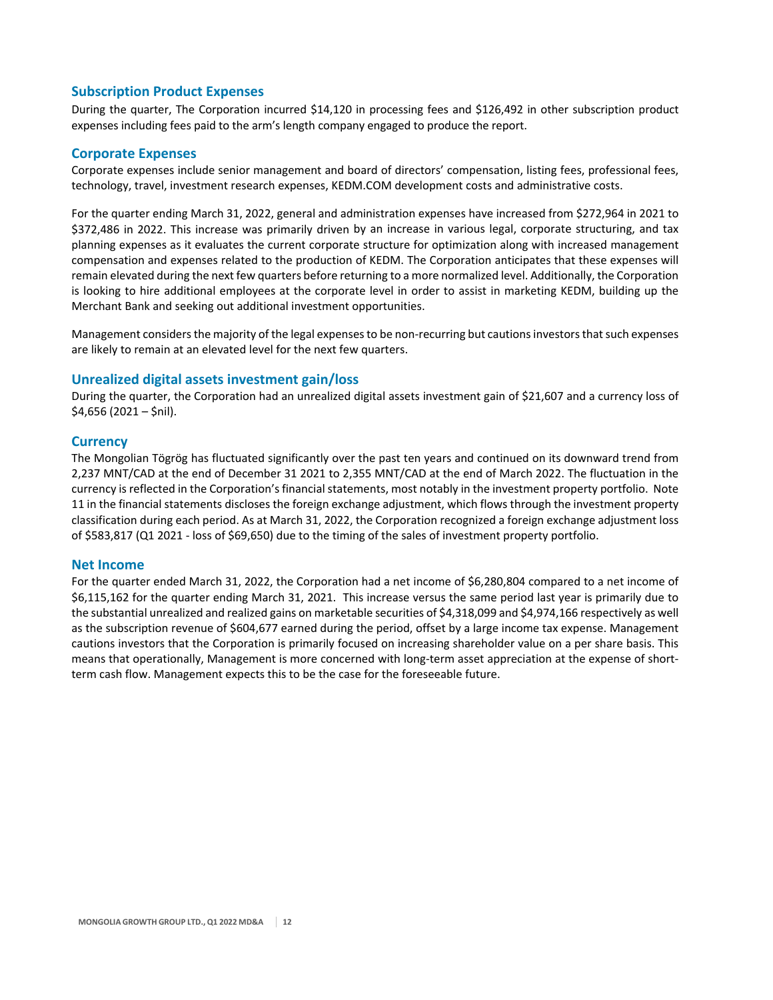# **Subscription Product Expenses**

During the quarter, The Corporation incurred \$14,120 in processing fees and \$126,492 in other subscription product expenses including fees paid to the arm's length company engaged to produce the report.

# **Corporate Expenses**

Corporate expenses include senior management and board of directors' compensation, listing fees, professional fees, technology, travel, investment research expenses, KEDM.COM development costs and administrative costs.

For the quarter ending March 31, 2022, general and administration expenses have increased from \$272,964 in 2021 to \$372,486 in 2022. This increase was primarily driven by an increase in various legal, corporate structuring, and tax planning expenses as it evaluates the current corporate structure for optimization along with increased management compensation and expenses related to the production of KEDM. The Corporation anticipates that these expenses will remain elevated during the next few quarters before returning to a more normalized level. Additionally, the Corporation is looking to hire additional employees at the corporate level in order to assist in marketing KEDM, building up the Merchant Bank and seeking out additional investment opportunities.

Management considers the majority of the legal expenses to be non-recurring but cautions investors that such expenses are likely to remain at an elevated level for the next few quarters.

# **Unrealized digital assets investment gain/loss**

During the quarter, the Corporation had an unrealized digital assets investment gain of \$21,607 and a currency loss of \$4,656 (2021 – \$nil).

## **Currency**

The Mongolian Tögrög has fluctuated significantly over the past ten years and continued on its downward trend from 2,237 MNT/CAD at the end of December 31 2021 to 2,355 MNT/CAD at the end of March 2022. The fluctuation in the currency is reflected in the Corporation's financial statements, most notably in the investment property portfolio. Note 11 in the financial statements discloses the foreign exchange adjustment, which flows through the investment property classification during each period. As at March 31, 2022, the Corporation recognized a foreign exchange adjustment loss of \$583,817 (Q1 2021 ‐ loss of \$69,650) due to the timing of the sales of investment property portfolio.

## **Net Income**

For the quarter ended March 31, 2022, the Corporation had a net income of \$6,280,804 compared to a net income of \$6,115,162 for the quarter ending March 31, 2021. This increase versus the same period last year is primarily due to the substantial unrealized and realized gains on marketable securities of \$4,318,099 and \$4,974,166 respectively as well as the subscription revenue of \$604,677 earned during the period, offset by a large income tax expense. Management cautions investors that the Corporation is primarily focused on increasing shareholder value on a per share basis. This means that operationally, Management is more concerned with long-term asset appreciation at the expense of shortterm cash flow. Management expects this to be the case for the foreseeable future.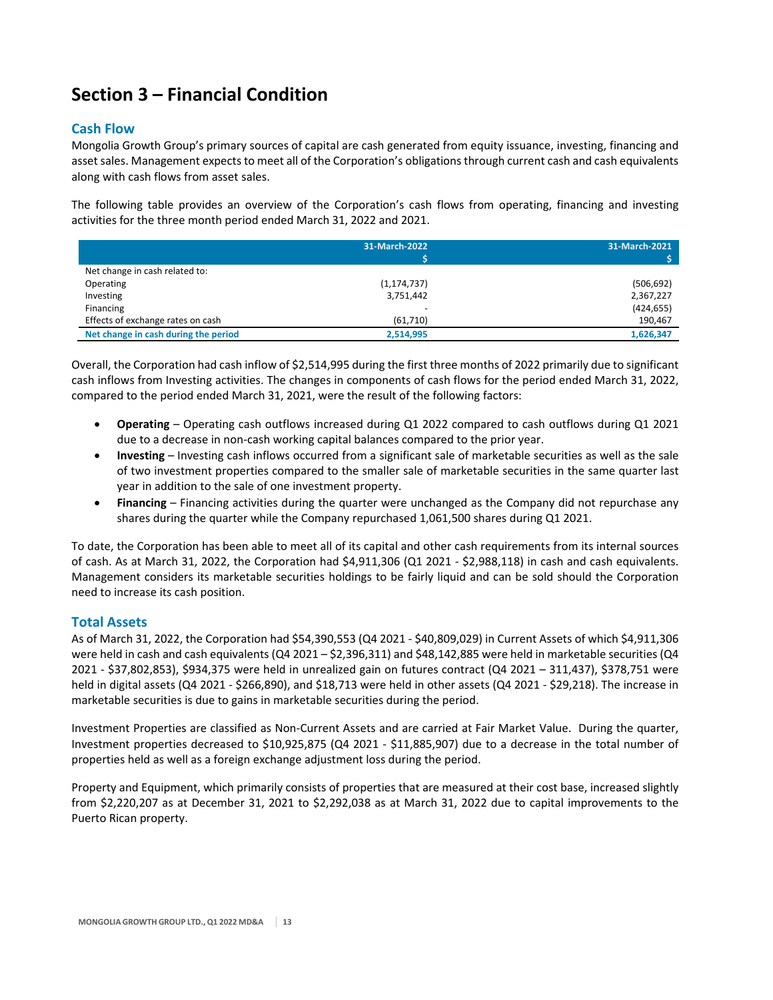# **Section 3 – Financial Condition**

# **Cash Flow**

Mongolia Growth Group's primary sources of capital are cash generated from equity issuance, investing, financing and asset sales. Management expects to meet all of the Corporation's obligations through current cash and cash equivalents along with cash flows from asset sales.

The following table provides an overview of the Corporation's cash flows from operating, financing and investing activities for the three month period ended March 31, 2022 and 2021.

|                                      | 31-March-2022            | 31-March-2021 |
|--------------------------------------|--------------------------|---------------|
|                                      |                          |               |
| Net change in cash related to:       |                          |               |
| Operating                            | (1, 174, 737)            | (506, 692)    |
| Investing                            | 3,751,442                | 2,367,227     |
| Financing                            | $\overline{\phantom{0}}$ | (424, 655)    |
| Effects of exchange rates on cash    | (61,710)                 | 190,467       |
| Net change in cash during the period | 2,514,995                | 1,626,347     |

Overall, the Corporation had cash inflow of \$2,514,995 during the first three months of 2022 primarily due to significant cash inflows from Investing activities. The changes in components of cash flows for the period ended March 31, 2022, compared to the period ended March 31, 2021, were the result of the following factors:

- **Operating** Operating cash outflows increased during Q1 2022 compared to cash outflows during Q1 2021 due to a decrease in non‐cash working capital balances compared to the prior year.
- **Investing** Investing cash inflows occurred from a significant sale of marketable securities as well as the sale of two investment properties compared to the smaller sale of marketable securities in the same quarter last year in addition to the sale of one investment property.
- **Financing** Financing activities during the quarter were unchanged as the Company did not repurchase any shares during the quarter while the Company repurchased 1,061,500 shares during Q1 2021.

To date, the Corporation has been able to meet all of its capital and other cash requirements from its internal sources of cash. As at March 31, 2022, the Corporation had \$4,911,306 (Q1 2021 ‐ \$2,988,118) in cash and cash equivalents. Management considers its marketable securities holdings to be fairly liquid and can be sold should the Corporation need to increase its cash position.

# **Total Assets**

As of March 31, 2022, the Corporation had \$54,390,553 (Q4 2021 ‐ \$40,809,029) in Current Assets of which \$4,911,306 were held in cash and cash equivalents (Q4 2021 – \$2,396,311) and \$48,142,885 were held in marketable securities (Q4 2021 ‐ \$37,802,853), \$934,375 were held in unrealized gain on futures contract (Q4 2021 – 311,437), \$378,751 were held in digital assets (Q4 2021 ‐ \$266,890), and \$18,713 were held in other assets (Q4 2021 ‐ \$29,218). The increase in marketable securities is due to gains in marketable securities during the period.

Investment Properties are classified as Non‐Current Assets and are carried at Fair Market Value. During the quarter, Investment properties decreased to \$10,925,875 (Q4 2021 ‐ \$11,885,907) due to a decrease in the total number of properties held as well as a foreign exchange adjustment loss during the period.

Property and Equipment, which primarily consists of properties that are measured at their cost base, increased slightly from \$2,220,207 as at December 31, 2021 to \$2,292,038 as at March 31, 2022 due to capital improvements to the Puerto Rican property.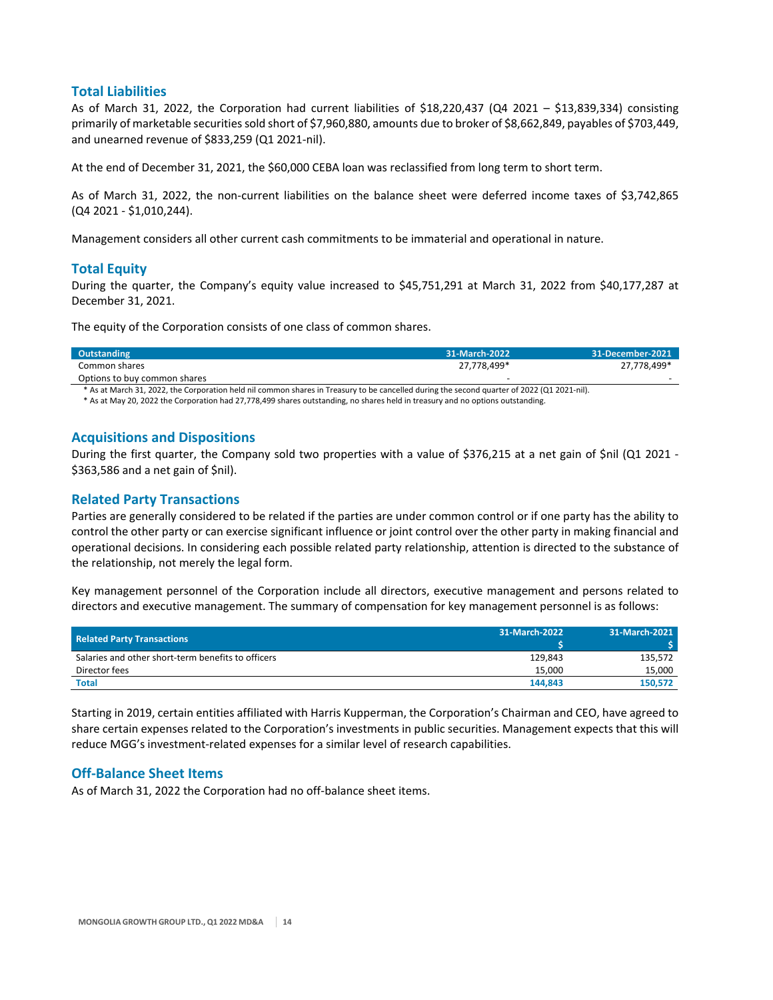## **Total Liabilities**

As of March 31, 2022, the Corporation had current liabilities of \$18,220,437 (Q4 2021 – \$13,839,334) consisting primarily of marketable securities sold short of \$7,960,880, amounts due to broker of \$8,662,849, payables of \$703,449, and unearned revenue of \$833,259 (Q1 2021‐nil).

At the end of December 31, 2021, the \$60,000 CEBA loan was reclassified from long term to short term.

As of March 31, 2022, the non‐current liabilities on the balance sheet were deferred income taxes of \$3,742,865 (Q4 2021 ‐ \$1,010,244).

Management considers all other current cash commitments to be immaterial and operational in nature.

## **Total Equity**

During the quarter, the Company's equity value increased to \$45,751,291 at March 31, 2022 from \$40,177,287 at December 31, 2021.

The equity of the Corporation consists of one class of common shares.

| Outstanding                  | 31-March-2022 | 31-December-2021 |
|------------------------------|---------------|------------------|
| Common shares                | 27.778.499*   | 27.778.499*      |
| Options to buy common shares |               |                  |

\* As at March 31, 2022, the Corporation held nil common shares in Treasury to be cancelled during the second quarter of 2022 (Q1 2021‐nil).

\* As at May 20, 2022 the Corporation had 27,778,499 shares outstanding, no shares held in treasury and no options outstanding.

## **Acquisitions and Dispositions**

During the first quarter, the Company sold two properties with a value of \$376,215 at a net gain of \$nil (Q1 2021 -\$363,586 and a net gain of \$nil).

## **Related Party Transactions**

Parties are generally considered to be related if the parties are under common control or if one party has the ability to control the other party or can exercise significant influence or joint control over the other party in making financial and operational decisions. In considering each possible related party relationship, attention is directed to the substance of the relationship, not merely the legal form.

Key management personnel of the Corporation include all directors, executive management and persons related to directors and executive management. The summary of compensation for key management personnel is as follows:

| <b>Related Party Transactions</b>                  | 31-March-2022 | 31-March-2021 |
|----------------------------------------------------|---------------|---------------|
| Salaries and other short-term benefits to officers | 129.843       | 135.572       |
| Director fees                                      | 15.000        | 15,000        |
| <b>Total</b>                                       | 144.843       | 150.572       |

Starting in 2019, certain entities affiliated with Harris Kupperman, the Corporation's Chairman and CEO, have agreed to share certain expenses related to the Corporation's investments in public securities. Management expects that this will reduce MGG's investment‐related expenses for a similar level of research capabilities.

## **Off‐Balance Sheet Items**

As of March 31, 2022 the Corporation had no off‐balance sheet items.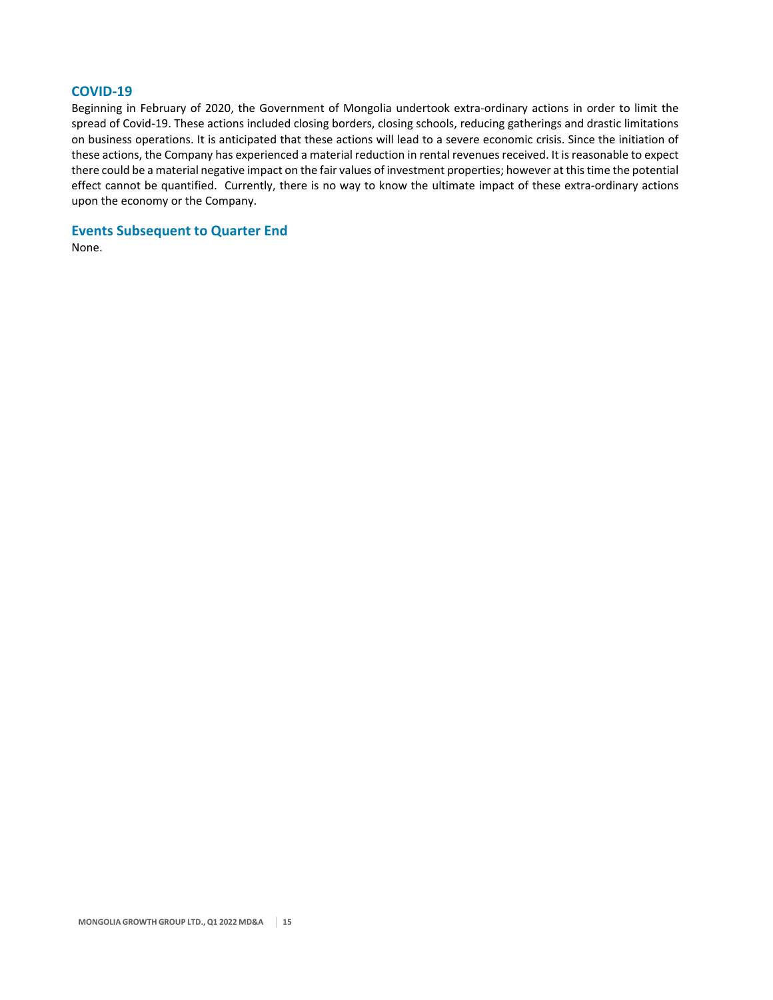# **COVID‐19**

Beginning in February of 2020, the Government of Mongolia undertook extra‐ordinary actions in order to limit the spread of Covid-19. These actions included closing borders, closing schools, reducing gatherings and drastic limitations on business operations. It is anticipated that these actions will lead to a severe economic crisis. Since the initiation of these actions, the Company has experienced a material reduction in rental revenues received. It is reasonable to expect there could be a material negative impact on the fair values of investment properties; however at thistime the potential effect cannot be quantified. Currently, there is no way to know the ultimate impact of these extra-ordinary actions upon the economy or the Company.

**Events Subsequent to Quarter End** 

None.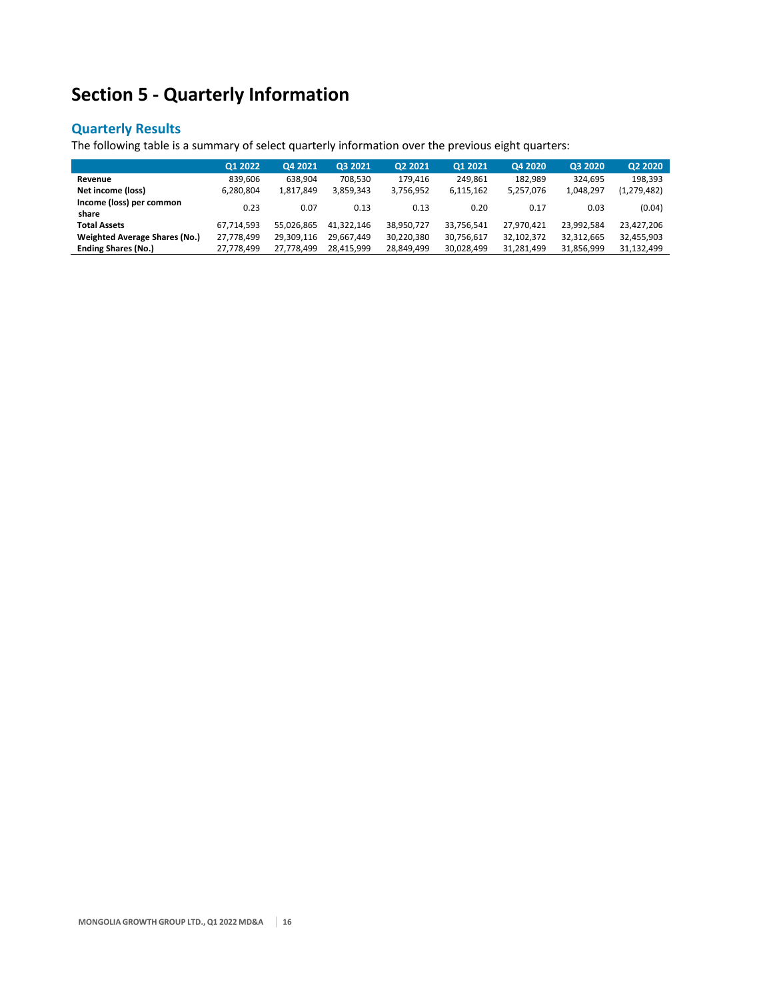# **Section 5 ‐ Quarterly Information**

# **Quarterly Results**

The following table is a summary of select quarterly information over the previous eight quarters:

|                                      | Q1 2022    | Q4 2021    | Q3 2021    | Q2 2021    | Q1 2021    | Q4 2020    | Q3 2020    | Q2 2020       |
|--------------------------------------|------------|------------|------------|------------|------------|------------|------------|---------------|
| Revenue                              | 839.606    | 638.904    | 708.530    | 179.416    | 249.861    | 182.989    | 324.695    | 198,393       |
| Net income (loss)                    | 6.280.804  | 1.817.849  | 3.859.343  | 3.756.952  | 6,115,162  | 5,257,076  | 1,048,297  | (1, 279, 482) |
| Income (loss) per common<br>share    | 0.23       | 0.07       | 0.13       | 0.13       | 0.20       | 0.17       | 0.03       | (0.04)        |
| <b>Total Assets</b>                  | 67,714,593 | 55.026.865 | 41.322.146 | 38,950,727 | 33,756,541 | 27,970,421 | 23.992.584 | 23,427,206    |
| <b>Weighted Average Shares (No.)</b> | 27,778,499 | 29,309,116 | 29.667.449 | 30,220,380 | 30,756,617 | 32,102,372 | 32,312,665 | 32,455,903    |
| <b>Ending Shares (No.)</b>           | 27,778,499 | 27.778.499 | 28.415.999 | 28,849,499 | 30,028,499 | 31,281,499 | 31,856,999 | 31,132,499    |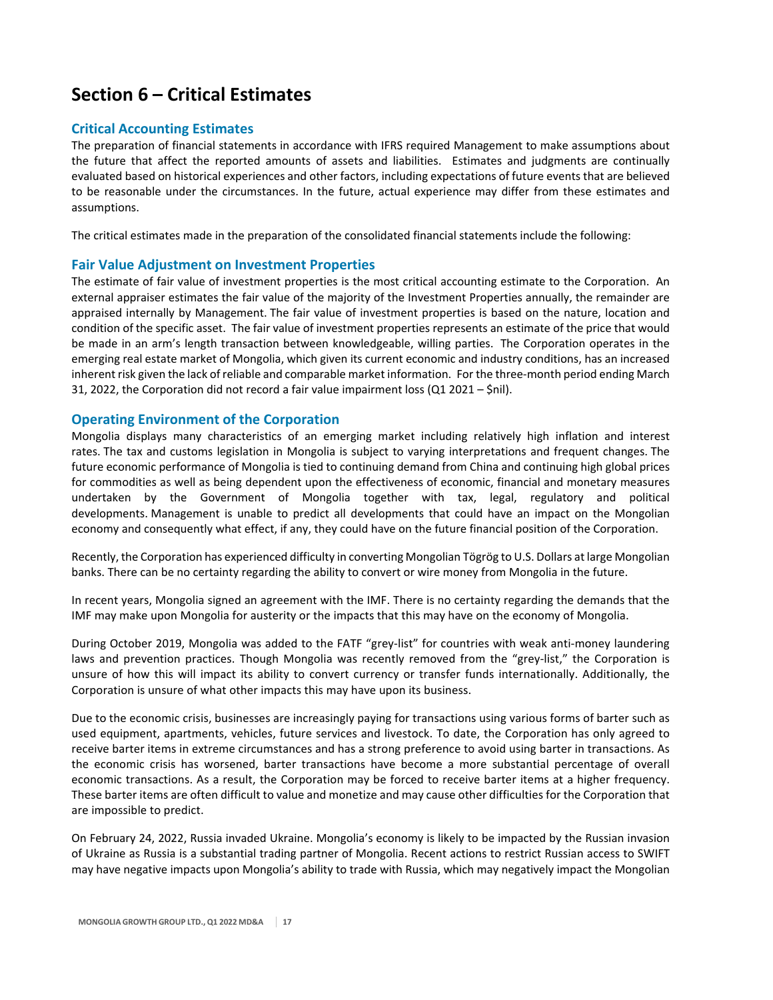# **Section 6 – Critical Estimates**

# **Critical Accounting Estimates**

The preparation of financial statements in accordance with IFRS required Management to make assumptions about the future that affect the reported amounts of assets and liabilities. Estimates and judgments are continually evaluated based on historical experiences and other factors, including expectations of future events that are believed to be reasonable under the circumstances. In the future, actual experience may differ from these estimates and assumptions.

The critical estimates made in the preparation of the consolidated financial statements include the following:

# **Fair Value Adjustment on Investment Properties**

The estimate of fair value of investment properties is the most critical accounting estimate to the Corporation. An external appraiser estimates the fair value of the majority of the Investment Properties annually, the remainder are appraised internally by Management. The fair value of investment properties is based on the nature, location and condition of the specific asset. The fair value of investment properties represents an estimate of the price that would be made in an arm's length transaction between knowledgeable, willing parties. The Corporation operates in the emerging real estate market of Mongolia, which given its current economic and industry conditions, has an increased inherent risk given the lack of reliable and comparable market information. For the three-month period ending March 31, 2022, the Corporation did not record a fair value impairment loss  $(Q1 2021 - \xi \text{nil})$ .

# **Operating Environment of the Corporation**

Mongolia displays many characteristics of an emerging market including relatively high inflation and interest rates. The tax and customs legislation in Mongolia is subject to varying interpretations and frequent changes. The future economic performance of Mongolia is tied to continuing demand from China and continuing high global prices for commodities as well as being dependent upon the effectiveness of economic, financial and monetary measures undertaken by the Government of Mongolia together with tax, legal, regulatory and political developments. Management is unable to predict all developments that could have an impact on the Mongolian economy and consequently what effect, if any, they could have on the future financial position of the Corporation.

Recently, the Corporation has experienced difficulty in converting Mongolian Tögrög to U.S. Dollars at large Mongolian banks. There can be no certainty regarding the ability to convert or wire money from Mongolia in the future.

In recent years, Mongolia signed an agreement with the IMF. There is no certainty regarding the demands that the IMF may make upon Mongolia for austerity or the impacts that this may have on the economy of Mongolia.

During October 2019, Mongolia was added to the FATF "grey‐list" for countries with weak anti‐money laundering laws and prevention practices. Though Mongolia was recently removed from the "grey-list," the Corporation is unsure of how this will impact its ability to convert currency or transfer funds internationally. Additionally, the Corporation is unsure of what other impacts this may have upon its business.

Due to the economic crisis, businesses are increasingly paying for transactions using various forms of barter such as used equipment, apartments, vehicles, future services and livestock. To date, the Corporation has only agreed to receive barter items in extreme circumstances and has a strong preference to avoid using barter in transactions. As the economic crisis has worsened, barter transactions have become a more substantial percentage of overall economic transactions. As a result, the Corporation may be forced to receive barter items at a higher frequency. These barter items are often difficult to value and monetize and may cause other difficulties for the Corporation that are impossible to predict.

On February 24, 2022, Russia invaded Ukraine. Mongolia's economy is likely to be impacted by the Russian invasion of Ukraine as Russia is a substantial trading partner of Mongolia. Recent actions to restrict Russian access to SWIFT may have negative impacts upon Mongolia's ability to trade with Russia, which may negatively impact the Mongolian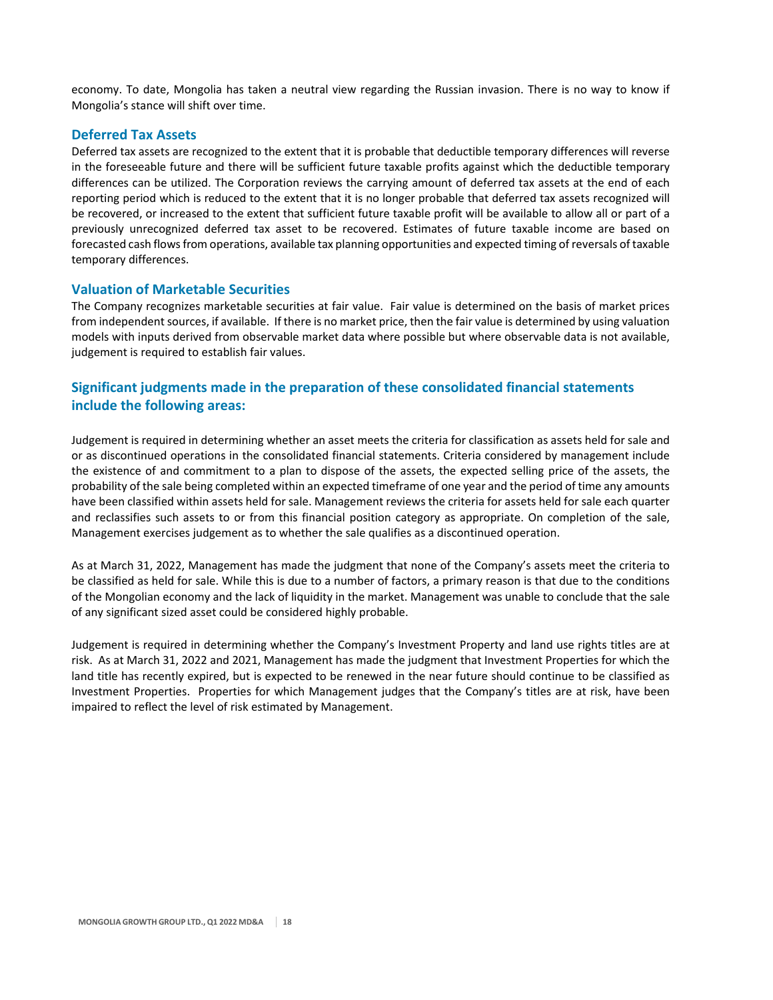economy. To date, Mongolia has taken a neutral view regarding the Russian invasion. There is no way to know if Mongolia's stance will shift over time.

# **Deferred Tax Assets**

Deferred tax assets are recognized to the extent that it is probable that deductible temporary differences will reverse in the foreseeable future and there will be sufficient future taxable profits against which the deductible temporary differences can be utilized. The Corporation reviews the carrying amount of deferred tax assets at the end of each reporting period which is reduced to the extent that it is no longer probable that deferred tax assets recognized will be recovered, or increased to the extent that sufficient future taxable profit will be available to allow all or part of a previously unrecognized deferred tax asset to be recovered. Estimates of future taxable income are based on forecasted cash flows from operations, available tax planning opportunities and expected timing of reversals of taxable temporary differences.

# **Valuation of Marketable Securities**

The Company recognizes marketable securities at fair value. Fair value is determined on the basis of market prices from independent sources, if available. If there is no market price, then the fair value is determined by using valuation models with inputs derived from observable market data where possible but where observable data is not available, judgement is required to establish fair values.

# **Significant judgments made in the preparation of these consolidated financial statements include the following areas:**

Judgement is required in determining whether an asset meets the criteria for classification as assets held for sale and or as discontinued operations in the consolidated financial statements. Criteria considered by management include the existence of and commitment to a plan to dispose of the assets, the expected selling price of the assets, the probability of the sale being completed within an expected timeframe of one year and the period of time any amounts have been classified within assets held for sale. Management reviews the criteria for assets held for sale each quarter and reclassifies such assets to or from this financial position category as appropriate. On completion of the sale, Management exercises judgement as to whether the sale qualifies as a discontinued operation.

As at March 31, 2022, Management has made the judgment that none of the Company's assets meet the criteria to be classified as held for sale. While this is due to a number of factors, a primary reason is that due to the conditions of the Mongolian economy and the lack of liquidity in the market. Management was unable to conclude that the sale of any significant sized asset could be considered highly probable.

Judgement is required in determining whether the Company's Investment Property and land use rights titles are at risk. As at March 31, 2022 and 2021, Management has made the judgment that Investment Properties for which the land title has recently expired, but is expected to be renewed in the near future should continue to be classified as Investment Properties. Properties for which Management judges that the Company's titles are at risk, have been impaired to reflect the level of risk estimated by Management.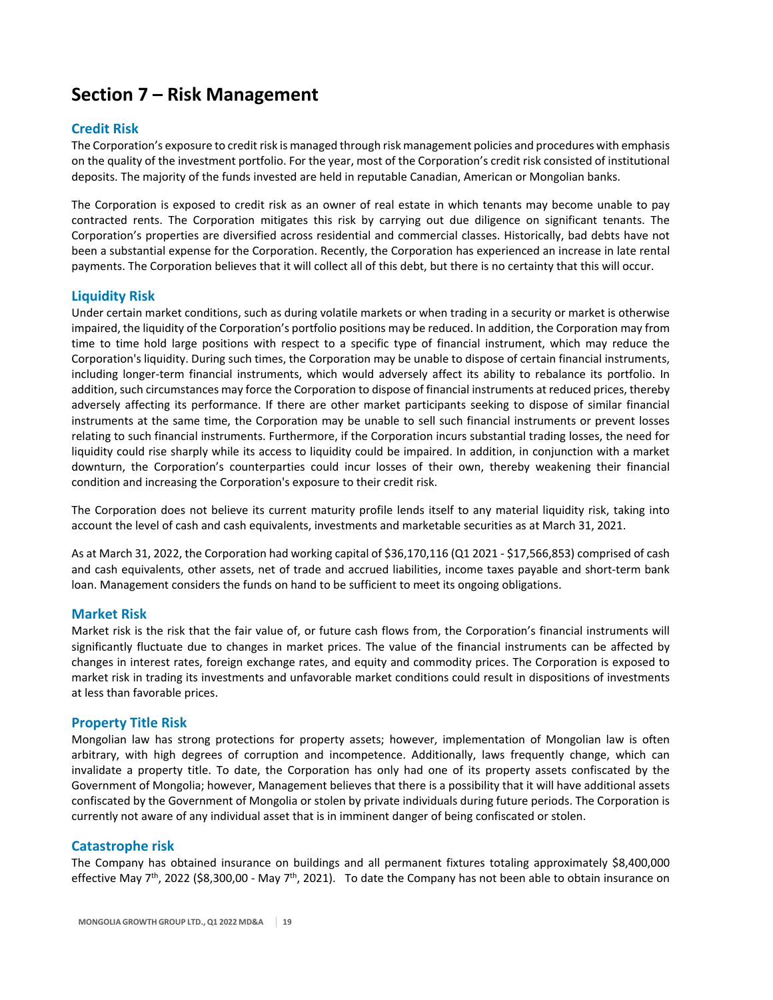# **Section 7 – Risk Management**

# **Credit Risk**

The Corporation's exposure to credit risk is managed through risk management policies and procedures with emphasis on the quality of the investment portfolio. For the year, most of the Corporation's credit risk consisted of institutional deposits. The majority of the funds invested are held in reputable Canadian, American or Mongolian banks.

The Corporation is exposed to credit risk as an owner of real estate in which tenants may become unable to pay contracted rents. The Corporation mitigates this risk by carrying out due diligence on significant tenants. The Corporation's properties are diversified across residential and commercial classes. Historically, bad debts have not been a substantial expense for the Corporation. Recently, the Corporation has experienced an increase in late rental payments. The Corporation believes that it will collect all of this debt, but there is no certainty that this will occur.

# **Liquidity Risk**

Under certain market conditions, such as during volatile markets or when trading in a security or market is otherwise impaired, the liquidity of the Corporation's portfolio positions may be reduced. In addition, the Corporation may from time to time hold large positions with respect to a specific type of financial instrument, which may reduce the Corporation's liquidity. During such times, the Corporation may be unable to dispose of certain financial instruments, including longer‐term financial instruments, which would adversely affect its ability to rebalance its portfolio. In addition, such circumstances may force the Corporation to dispose of financial instruments at reduced prices, thereby adversely affecting its performance. If there are other market participants seeking to dispose of similar financial instruments at the same time, the Corporation may be unable to sell such financial instruments or prevent losses relating to such financial instruments. Furthermore, if the Corporation incurs substantial trading losses, the need for liquidity could rise sharply while its access to liquidity could be impaired. In addition, in conjunction with a market downturn, the Corporation's counterparties could incur losses of their own, thereby weakening their financial condition and increasing the Corporation's exposure to their credit risk.

The Corporation does not believe its current maturity profile lends itself to any material liquidity risk, taking into account the level of cash and cash equivalents, investments and marketable securities as at March 31, 2021.

As at March 31, 2022, the Corporation had working capital of \$36,170,116 (Q1 2021 ‐ \$17,566,853) comprised of cash and cash equivalents, other assets, net of trade and accrued liabilities, income taxes payable and short‐term bank loan. Management considers the funds on hand to be sufficient to meet its ongoing obligations.

# **Market Risk**

Market risk is the risk that the fair value of, or future cash flows from, the Corporation's financial instruments will significantly fluctuate due to changes in market prices. The value of the financial instruments can be affected by changes in interest rates, foreign exchange rates, and equity and commodity prices. The Corporation is exposed to market risk in trading its investments and unfavorable market conditions could result in dispositions of investments at less than favorable prices.

## **Property Title Risk**

Mongolian law has strong protections for property assets; however, implementation of Mongolian law is often arbitrary, with high degrees of corruption and incompetence. Additionally, laws frequently change, which can invalidate a property title. To date, the Corporation has only had one of its property assets confiscated by the Government of Mongolia; however, Management believes that there is a possibility that it will have additional assets confiscated by the Government of Mongolia or stolen by private individuals during future periods. The Corporation is currently not aware of any individual asset that is in imminent danger of being confiscated or stolen.

# **Catastrophe risk**

The Company has obtained insurance on buildings and all permanent fixtures totaling approximately \$8,400,000 effective May  $7<sup>th</sup>$ , 2022 (\$8,300,00 - May  $7<sup>th</sup>$ , 2021). To date the Company has not been able to obtain insurance on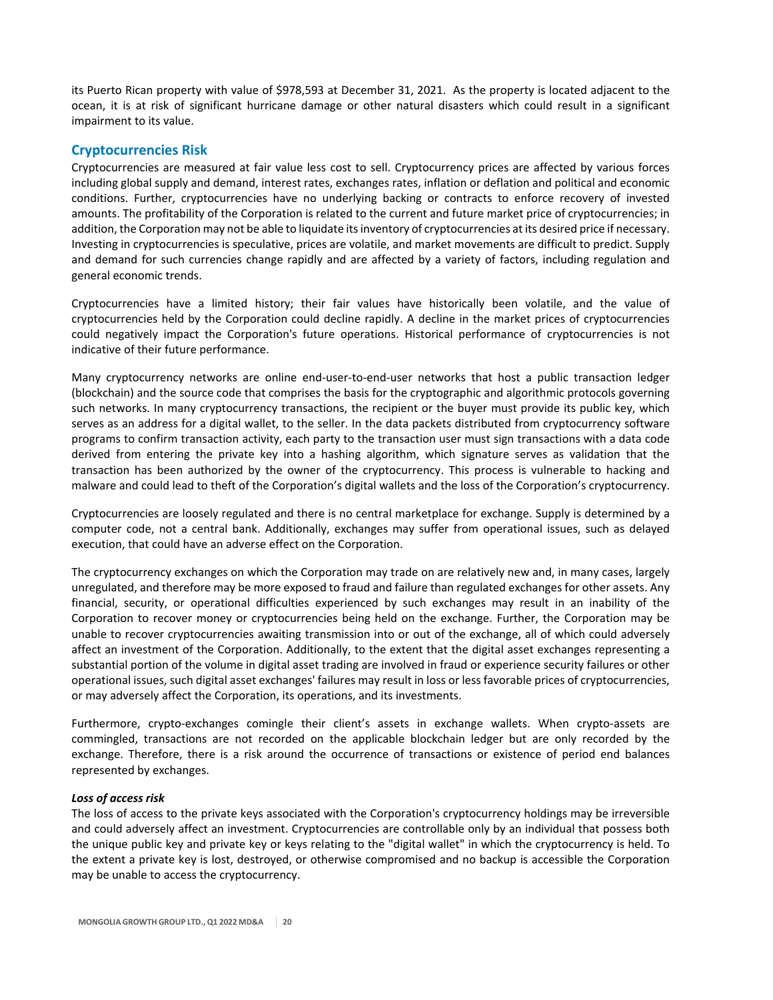its Puerto Rican property with value of \$978,593 at December 31, 2021. As the property is located adjacent to the ocean, it is at risk of significant hurricane damage or other natural disasters which could result in a significant impairment to its value.

# **Cryptocurrencies Risk**

Cryptocurrencies are measured at fair value less cost to sell. Cryptocurrency prices are affected by various forces including global supply and demand, interest rates, exchanges rates, inflation or deflation and political and economic conditions. Further, cryptocurrencies have no underlying backing or contracts to enforce recovery of invested amounts. The profitability of the Corporation is related to the current and future market price of cryptocurrencies; in addition, the Corporation may not be able to liquidate itsinventory of cryptocurrencies at its desired price if necessary. Investing in cryptocurrencies is speculative, prices are volatile, and market movements are difficult to predict. Supply and demand for such currencies change rapidly and are affected by a variety of factors, including regulation and general economic trends.

Cryptocurrencies have a limited history; their fair values have historically been volatile, and the value of cryptocurrencies held by the Corporation could decline rapidly. A decline in the market prices of cryptocurrencies could negatively impact the Corporation's future operations. Historical performance of cryptocurrencies is not indicative of their future performance.

Many cryptocurrency networks are online end‐user‐to‐end‐user networks that host a public transaction ledger (blockchain) and the source code that comprises the basis for the cryptographic and algorithmic protocols governing such networks. In many cryptocurrency transactions, the recipient or the buyer must provide its public key, which serves as an address for a digital wallet, to the seller. In the data packets distributed from cryptocurrency software programs to confirm transaction activity, each party to the transaction user must sign transactions with a data code derived from entering the private key into a hashing algorithm, which signature serves as validation that the transaction has been authorized by the owner of the cryptocurrency. This process is vulnerable to hacking and malware and could lead to theft of the Corporation's digital wallets and the loss of the Corporation's cryptocurrency.

Cryptocurrencies are loosely regulated and there is no central marketplace for exchange. Supply is determined by a computer code, not a central bank. Additionally, exchanges may suffer from operational issues, such as delayed execution, that could have an adverse effect on the Corporation.

The cryptocurrency exchanges on which the Corporation may trade on are relatively new and, in many cases, largely unregulated, and therefore may be more exposed to fraud and failure than regulated exchanges for other assets. Any financial, security, or operational difficulties experienced by such exchanges may result in an inability of the Corporation to recover money or cryptocurrencies being held on the exchange. Further, the Corporation may be unable to recover cryptocurrencies awaiting transmission into or out of the exchange, all of which could adversely affect an investment of the Corporation. Additionally, to the extent that the digital asset exchanges representing a substantial portion of the volume in digital asset trading are involved in fraud or experience security failures or other operational issues, such digital asset exchanges' failures may result in loss or less favorable prices of cryptocurrencies, or may adversely affect the Corporation, its operations, and its investments.

Furthermore, crypto‐exchanges comingle their client's assets in exchange wallets. When crypto‐assets are commingled, transactions are not recorded on the applicable blockchain ledger but are only recorded by the exchange. Therefore, there is a risk around the occurrence of transactions or existence of period end balances represented by exchanges.

## *Loss of access risk*

The loss of access to the private keys associated with the Corporation's cryptocurrency holdings may be irreversible and could adversely affect an investment. Cryptocurrencies are controllable only by an individual that possess both the unique public key and private key or keys relating to the "digital wallet" in which the cryptocurrency is held. To the extent a private key is lost, destroyed, or otherwise compromised and no backup is accessible the Corporation may be unable to access the cryptocurrency.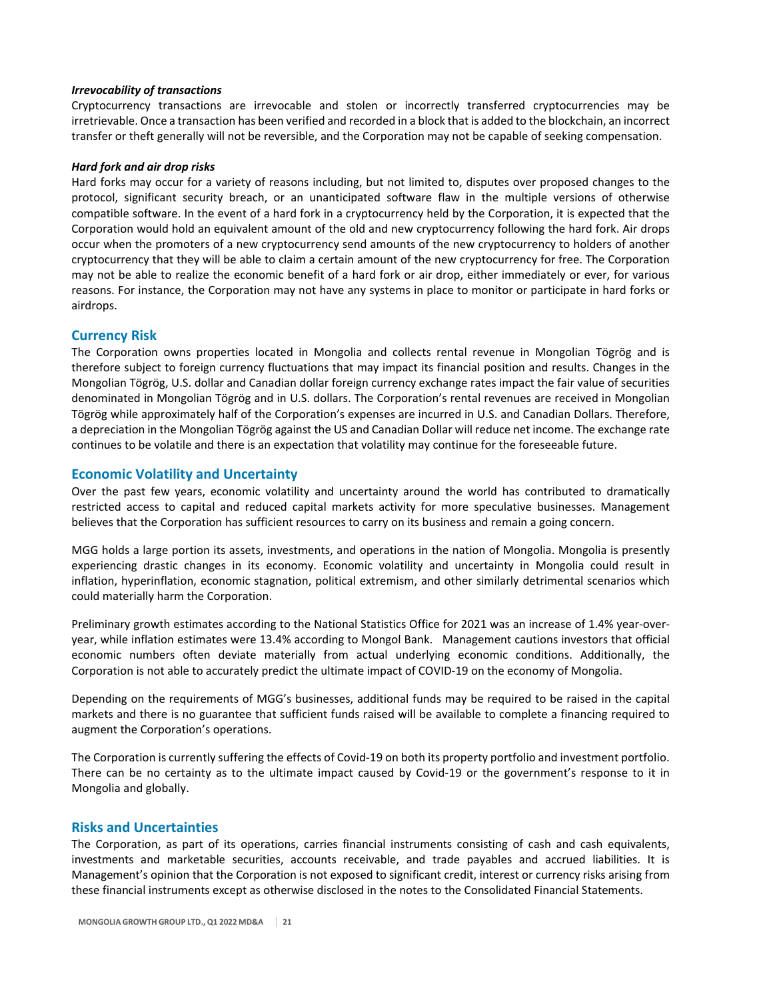#### *Irrevocability of transactions*

Cryptocurrency transactions are irrevocable and stolen or incorrectly transferred cryptocurrencies may be irretrievable. Once a transaction has been verified and recorded in a block that is added to the blockchain, an incorrect transfer or theft generally will not be reversible, and the Corporation may not be capable of seeking compensation.

#### *Hard fork and air drop risks*

Hard forks may occur for a variety of reasons including, but not limited to, disputes over proposed changes to the protocol, significant security breach, or an unanticipated software flaw in the multiple versions of otherwise compatible software. In the event of a hard fork in a cryptocurrency held by the Corporation, it is expected that the Corporation would hold an equivalent amount of the old and new cryptocurrency following the hard fork. Air drops occur when the promoters of a new cryptocurrency send amounts of the new cryptocurrency to holders of another cryptocurrency that they will be able to claim a certain amount of the new cryptocurrency for free. The Corporation may not be able to realize the economic benefit of a hard fork or air drop, either immediately or ever, for various reasons. For instance, the Corporation may not have any systems in place to monitor or participate in hard forks or airdrops.

## **Currency Risk**

The Corporation owns properties located in Mongolia and collects rental revenue in Mongolian Tögrög and is therefore subject to foreign currency fluctuations that may impact its financial position and results. Changes in the Mongolian Tögrög, U.S. dollar and Canadian dollar foreign currency exchange rates impact the fair value of securities denominated in Mongolian Tögrög and in U.S. dollars. The Corporation's rental revenues are received in Mongolian Tögrög while approximately half of the Corporation's expenses are incurred in U.S. and Canadian Dollars. Therefore, a depreciation in the Mongolian Tögrög against the US and Canadian Dollar will reduce net income. The exchange rate continues to be volatile and there is an expectation that volatility may continue for the foreseeable future.

## **Economic Volatility and Uncertainty**

Over the past few years, economic volatility and uncertainty around the world has contributed to dramatically restricted access to capital and reduced capital markets activity for more speculative businesses. Management believes that the Corporation has sufficient resources to carry on its business and remain a going concern.

MGG holds a large portion its assets, investments, and operations in the nation of Mongolia. Mongolia is presently experiencing drastic changes in its economy. Economic volatility and uncertainty in Mongolia could result in inflation, hyperinflation, economic stagnation, political extremism, and other similarly detrimental scenarios which could materially harm the Corporation.

Preliminary growth estimates according to the National Statistics Office for 2021 was an increase of 1.4% year‐over‐ year, while inflation estimates were 13.4% according to Mongol Bank. Management cautions investors that official economic numbers often deviate materially from actual underlying economic conditions. Additionally, the Corporation is not able to accurately predict the ultimate impact of COVID‐19 on the economy of Mongolia.

Depending on the requirements of MGG's businesses, additional funds may be required to be raised in the capital markets and there is no guarantee that sufficient funds raised will be available to complete a financing required to augment the Corporation's operations.

The Corporation is currently suffering the effects of Covid‐19 on both its property portfolio and investment portfolio. There can be no certainty as to the ultimate impact caused by Covid‐19 or the government's response to it in Mongolia and globally.

## **Risks and Uncertainties**

The Corporation, as part of its operations, carries financial instruments consisting of cash and cash equivalents, investments and marketable securities, accounts receivable, and trade payables and accrued liabilities. It is Management's opinion that the Corporation is not exposed to significant credit, interest or currency risks arising from these financial instruments except as otherwise disclosed in the notes to the Consolidated Financial Statements.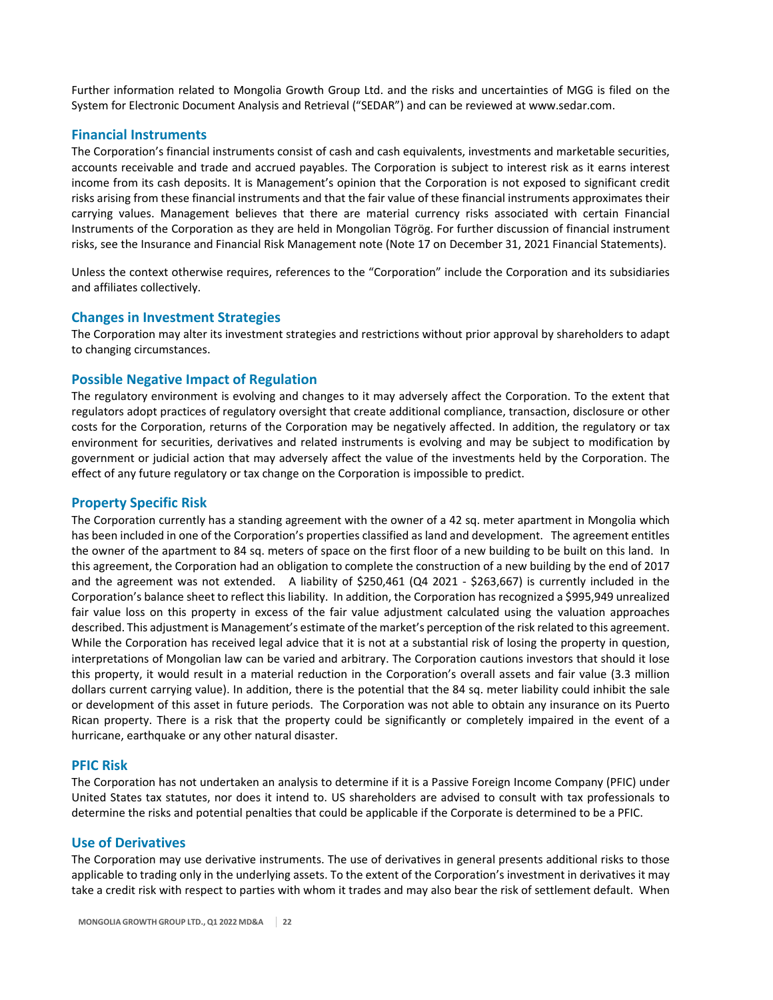Further information related to Mongolia Growth Group Ltd. and the risks and uncertainties of MGG is filed on the System for Electronic Document Analysis and Retrieval ("SEDAR") and can be reviewed at www.sedar.com.

## **Financial Instruments**

The Corporation's financial instruments consist of cash and cash equivalents, investments and marketable securities, accounts receivable and trade and accrued payables. The Corporation is subject to interest risk as it earns interest income from its cash deposits. It is Management's opinion that the Corporation is not exposed to significant credit risks arising from these financial instruments and that the fair value of these financial instruments approximates their carrying values. Management believes that there are material currency risks associated with certain Financial Instruments of the Corporation as they are held in Mongolian Tögrög. For further discussion of financial instrument risks, see the Insurance and Financial Risk Management note (Note 17 on December 31, 2021 Financial Statements).

Unless the context otherwise requires, references to the "Corporation" include the Corporation and its subsidiaries and affiliates collectively.

## **Changes in Investment Strategies**

The Corporation may alter its investment strategies and restrictions without prior approval by shareholders to adapt to changing circumstances.

#### **Possible Negative Impact of Regulation**

The regulatory environment is evolving and changes to it may adversely affect the Corporation. To the extent that regulators adopt practices of regulatory oversight that create additional compliance, transaction, disclosure or other costs for the Corporation, returns of the Corporation may be negatively affected. In addition, the regulatory or tax environment for securities, derivatives and related instruments is evolving and may be subject to modification by government or judicial action that may adversely affect the value of the investments held by the Corporation. The effect of any future regulatory or tax change on the Corporation is impossible to predict.

#### **Property Specific Risk**

The Corporation currently has a standing agreement with the owner of a 42 sq. meter apartment in Mongolia which has been included in one of the Corporation's properties classified as land and development. The agreement entitles the owner of the apartment to 84 sq. meters of space on the first floor of a new building to be built on this land. In this agreement, the Corporation had an obligation to complete the construction of a new building by the end of 2017 and the agreement was not extended. A liability of \$250,461 (Q4 2021 - \$263,667) is currently included in the Corporation's balance sheet to reflect this liability. In addition, the Corporation has recognized a \$995,949 unrealized fair value loss on this property in excess of the fair value adjustment calculated using the valuation approaches described. This adjustment is Management's estimate of the market's perception of the risk related to this agreement. While the Corporation has received legal advice that it is not at a substantial risk of losing the property in question, interpretations of Mongolian law can be varied and arbitrary. The Corporation cautions investors that should it lose this property, it would result in a material reduction in the Corporation's overall assets and fair value (3.3 million dollars current carrying value). In addition, there is the potential that the 84 sq. meter liability could inhibit the sale or development of this asset in future periods. The Corporation was not able to obtain any insurance on its Puerto Rican property. There is a risk that the property could be significantly or completely impaired in the event of a hurricane, earthquake or any other natural disaster.

#### **PFIC Risk**

The Corporation has not undertaken an analysis to determine if it is a Passive Foreign Income Company (PFIC) under United States tax statutes, nor does it intend to. US shareholders are advised to consult with tax professionals to determine the risks and potential penalties that could be applicable if the Corporate is determined to be a PFIC.

#### **Use of Derivatives**

The Corporation may use derivative instruments. The use of derivatives in general presents additional risks to those applicable to trading only in the underlying assets. To the extent of the Corporation's investment in derivatives it may take a credit risk with respect to parties with whom it trades and may also bear the risk of settlement default. When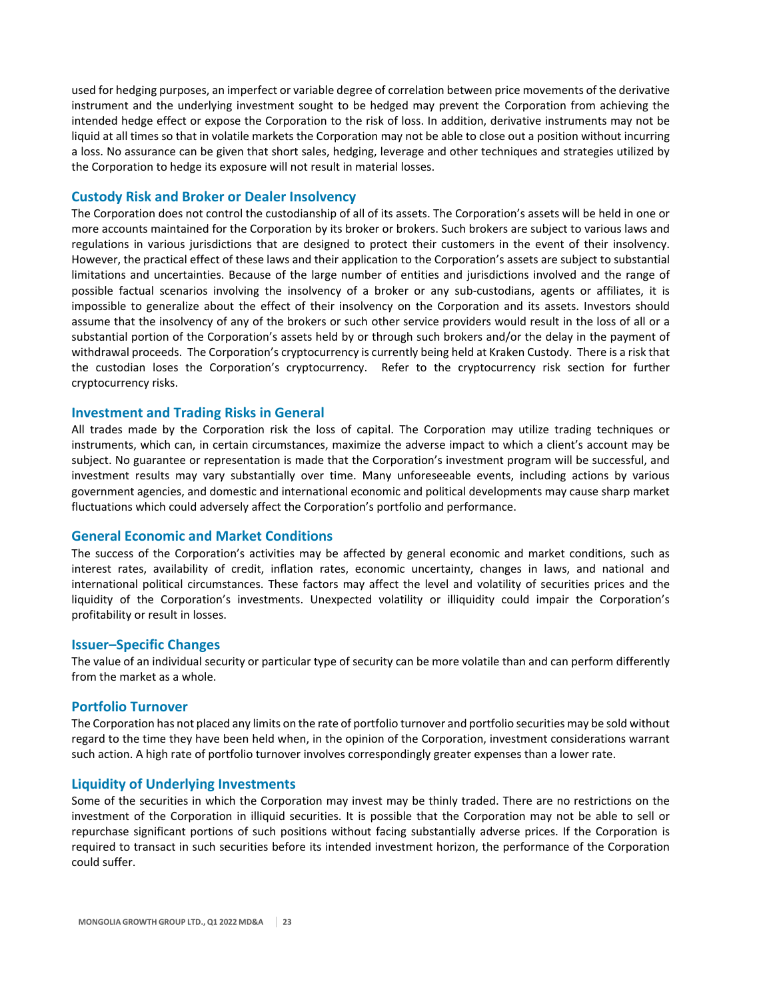used for hedging purposes, an imperfect or variable degree of correlation between price movements of the derivative instrument and the underlying investment sought to be hedged may prevent the Corporation from achieving the intended hedge effect or expose the Corporation to the risk of loss. In addition, derivative instruments may not be liquid at all times so that in volatile markets the Corporation may not be able to close out a position without incurring a loss. No assurance can be given that short sales, hedging, leverage and other techniques and strategies utilized by the Corporation to hedge its exposure will not result in material losses.

## **Custody Risk and Broker or Dealer Insolvency**

The Corporation does not control the custodianship of all of its assets. The Corporation's assets will be held in one or more accounts maintained for the Corporation by its broker or brokers. Such brokers are subject to various laws and regulations in various jurisdictions that are designed to protect their customers in the event of their insolvency. However, the practical effect of these laws and their application to the Corporation's assets are subject to substantial limitations and uncertainties. Because of the large number of entities and jurisdictions involved and the range of possible factual scenarios involving the insolvency of a broker or any sub-custodians, agents or affiliates, it is impossible to generalize about the effect of their insolvency on the Corporation and its assets. Investors should assume that the insolvency of any of the brokers or such other service providers would result in the loss of all or a substantial portion of the Corporation's assets held by or through such brokers and/or the delay in the payment of withdrawal proceeds. The Corporation's cryptocurrency is currently being held at Kraken Custody. There is a risk that the custodian loses the Corporation's cryptocurrency. Refer to the cryptocurrency risk section for further cryptocurrency risks.

## **Investment and Trading Risks in General**

All trades made by the Corporation risk the loss of capital. The Corporation may utilize trading techniques or instruments, which can, in certain circumstances, maximize the adverse impact to which a client's account may be subject. No guarantee or representation is made that the Corporation's investment program will be successful, and investment results may vary substantially over time. Many unforeseeable events, including actions by various government agencies, and domestic and international economic and political developments may cause sharp market fluctuations which could adversely affect the Corporation's portfolio and performance.

## **General Economic and Market Conditions**

The success of the Corporation's activities may be affected by general economic and market conditions, such as interest rates, availability of credit, inflation rates, economic uncertainty, changes in laws, and national and international political circumstances. These factors may affect the level and volatility of securities prices and the liquidity of the Corporation's investments. Unexpected volatility or illiquidity could impair the Corporation's profitability or result in losses.

#### **Issuer–Specific Changes**

The value of an individual security or particular type of security can be more volatile than and can perform differently from the market as a whole.

## **Portfolio Turnover**

The Corporation has not placed any limits on the rate of portfolio turnover and portfolio securities may be sold without regard to the time they have been held when, in the opinion of the Corporation, investment considerations warrant such action. A high rate of portfolio turnover involves correspondingly greater expenses than a lower rate.

## **Liquidity of Underlying Investments**

Some of the securities in which the Corporation may invest may be thinly traded. There are no restrictions on the investment of the Corporation in illiquid securities. It is possible that the Corporation may not be able to sell or repurchase significant portions of such positions without facing substantially adverse prices. If the Corporation is required to transact in such securities before its intended investment horizon, the performance of the Corporation could suffer.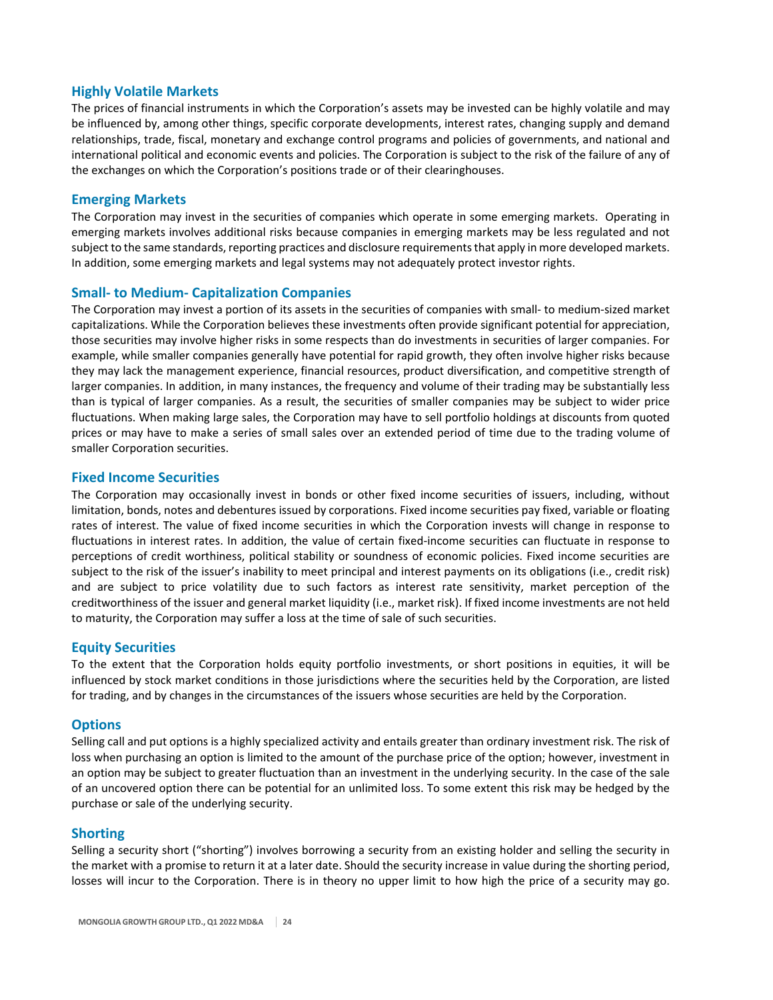# **Highly Volatile Markets**

The prices of financial instruments in which the Corporation's assets may be invested can be highly volatile and may be influenced by, among other things, specific corporate developments, interest rates, changing supply and demand relationships, trade, fiscal, monetary and exchange control programs and policies of governments, and national and international political and economic events and policies. The Corporation is subject to the risk of the failure of any of the exchanges on which the Corporation's positions trade or of their clearinghouses.

## **Emerging Markets**

The Corporation may invest in the securities of companies which operate in some emerging markets. Operating in emerging markets involves additional risks because companies in emerging markets may be less regulated and not subject to the same standards, reporting practices and disclosure requirementsthat apply in more developed markets. In addition, some emerging markets and legal systems may not adequately protect investor rights.

# **Small‐ to Medium‐ Capitalization Companies**

The Corporation may invest a portion of its assets in the securities of companies with small‐ to medium‐sized market capitalizations. While the Corporation believes these investments often provide significant potential for appreciation, those securities may involve higher risks in some respects than do investments in securities of larger companies. For example, while smaller companies generally have potential for rapid growth, they often involve higher risks because they may lack the management experience, financial resources, product diversification, and competitive strength of larger companies. In addition, in many instances, the frequency and volume of their trading may be substantially less than is typical of larger companies. As a result, the securities of smaller companies may be subject to wider price fluctuations. When making large sales, the Corporation may have to sell portfolio holdings at discounts from quoted prices or may have to make a series of small sales over an extended period of time due to the trading volume of smaller Corporation securities.

## **Fixed Income Securities**

The Corporation may occasionally invest in bonds or other fixed income securities of issuers, including, without limitation, bonds, notes and debentures issued by corporations. Fixed income securities pay fixed, variable or floating rates of interest. The value of fixed income securities in which the Corporation invests will change in response to fluctuations in interest rates. In addition, the value of certain fixed-income securities can fluctuate in response to perceptions of credit worthiness, political stability or soundness of economic policies. Fixed income securities are subject to the risk of the issuer's inability to meet principal and interest payments on its obligations (i.e., credit risk) and are subject to price volatility due to such factors as interest rate sensitivity, market perception of the creditworthiness of the issuer and general market liquidity (i.e., market risk). If fixed income investments are not held to maturity, the Corporation may suffer a loss at the time of sale of such securities.

## **Equity Securities**

To the extent that the Corporation holds equity portfolio investments, or short positions in equities, it will be influenced by stock market conditions in those jurisdictions where the securities held by the Corporation, are listed for trading, and by changes in the circumstances of the issuers whose securities are held by the Corporation.

## **Options**

Selling call and put options is a highly specialized activity and entails greater than ordinary investment risk. The risk of loss when purchasing an option is limited to the amount of the purchase price of the option; however, investment in an option may be subject to greater fluctuation than an investment in the underlying security. In the case of the sale of an uncovered option there can be potential for an unlimited loss. To some extent this risk may be hedged by the purchase or sale of the underlying security.

## **Shorting**

Selling a security short ("shorting") involves borrowing a security from an existing holder and selling the security in the market with a promise to return it at a later date. Should the security increase in value during the shorting period, losses will incur to the Corporation. There is in theory no upper limit to how high the price of a security may go.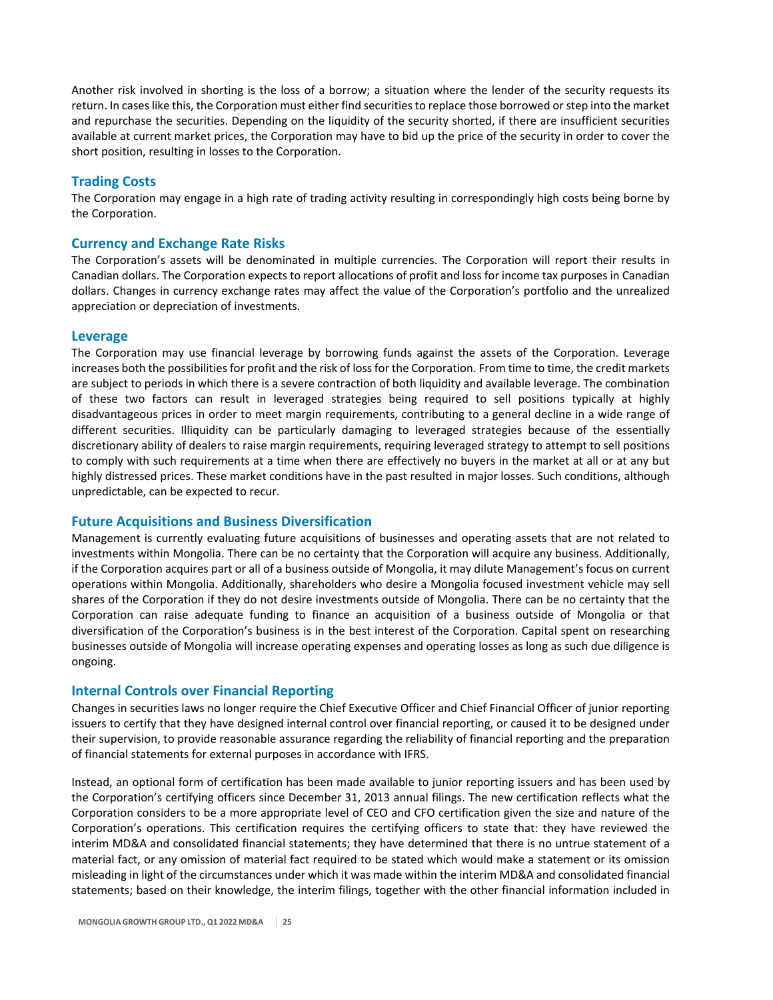Another risk involved in shorting is the loss of a borrow; a situation where the lender of the security requests its return. In caseslike this, the Corporation must either find securitiesto replace those borrowed orstep into the market and repurchase the securities. Depending on the liquidity of the security shorted, if there are insufficient securities available at current market prices, the Corporation may have to bid up the price of the security in order to cover the short position, resulting in losses to the Corporation.

## **Trading Costs**

The Corporation may engage in a high rate of trading activity resulting in correspondingly high costs being borne by the Corporation.

## **Currency and Exchange Rate Risks**

The Corporation's assets will be denominated in multiple currencies. The Corporation will report their results in Canadian dollars. The Corporation expects to report allocations of profit and loss for income tax purposes in Canadian dollars. Changes in currency exchange rates may affect the value of the Corporation's portfolio and the unrealized appreciation or depreciation of investments.

## **Leverage**

The Corporation may use financial leverage by borrowing funds against the assets of the Corporation. Leverage increases both the possibilities for profit and the risk of loss for the Corporation. From time to time, the credit markets are subject to periods in which there is a severe contraction of both liquidity and available leverage. The combination of these two factors can result in leveraged strategies being required to sell positions typically at highly disadvantageous prices in order to meet margin requirements, contributing to a general decline in a wide range of different securities. Illiquidity can be particularly damaging to leveraged strategies because of the essentially discretionary ability of dealers to raise margin requirements, requiring leveraged strategy to attempt to sell positions to comply with such requirements at a time when there are effectively no buyers in the market at all or at any but highly distressed prices. These market conditions have in the past resulted in major losses. Such conditions, although unpredictable, can be expected to recur.

## **Future Acquisitions and Business Diversification**

Management is currently evaluating future acquisitions of businesses and operating assets that are not related to investments within Mongolia. There can be no certainty that the Corporation will acquire any business. Additionally, if the Corporation acquires part or all of a business outside of Mongolia, it may dilute Management's focus on current operations within Mongolia. Additionally, shareholders who desire a Mongolia focused investment vehicle may sell shares of the Corporation if they do not desire investments outside of Mongolia. There can be no certainty that the Corporation can raise adequate funding to finance an acquisition of a business outside of Mongolia or that diversification of the Corporation's business is in the best interest of the Corporation. Capital spent on researching businesses outside of Mongolia will increase operating expenses and operating losses as long as such due diligence is ongoing.

## **Internal Controls over Financial Reporting**

Changes in securities laws no longer require the Chief Executive Officer and Chief Financial Officer of junior reporting issuers to certify that they have designed internal control over financial reporting, or caused it to be designed under their supervision, to provide reasonable assurance regarding the reliability of financial reporting and the preparation of financial statements for external purposes in accordance with IFRS.

Instead, an optional form of certification has been made available to junior reporting issuers and has been used by the Corporation's certifying officers since December 31, 2013 annual filings. The new certification reflects what the Corporation considers to be a more appropriate level of CEO and CFO certification given the size and nature of the Corporation's operations. This certification requires the certifying officers to state that: they have reviewed the interim MD&A and consolidated financial statements; they have determined that there is no untrue statement of a material fact, or any omission of material fact required to be stated which would make a statement or its omission misleading in light of the circumstances under which it was made within the interim MD&A and consolidated financial statements; based on their knowledge, the interim filings, together with the other financial information included in